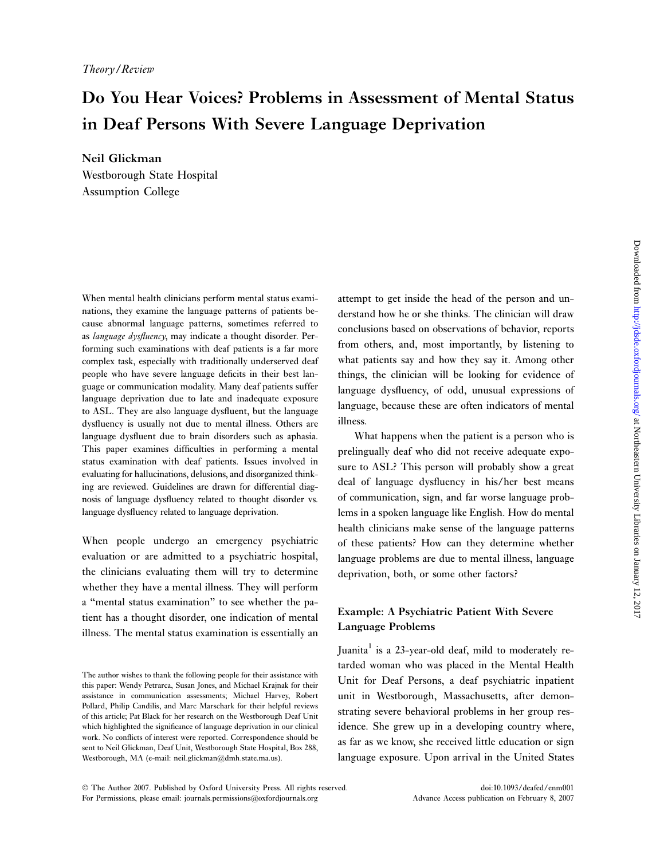# Do You Hear Voices? Problems in Assessment of Mental Status in Deaf Persons With Severe Language Deprivation

Neil Glickman Westborough State Hospital Assumption College

When mental health clinicians perform mental status examinations, they examine the language patterns of patients because abnormal language patterns, sometimes referred to as language dysfluency, may indicate a thought disorder. Performing such examinations with deaf patients is a far more complex task, especially with traditionally underserved deaf people who have severe language deficits in their best language or communication modality. Many deaf patients suffer language deprivation due to late and inadequate exposure to ASL. They are also language dysfluent, but the language dysfluency is usually not due to mental illness. Others are language dysfluent due to brain disorders such as aphasia. This paper examines difficulties in performing a mental status examination with deaf patients. Issues involved in evaluating for hallucinations, delusions, and disorganized thinking are reviewed. Guidelines are drawn for differential diagnosis of language dysfluency related to thought disorder vs. language dysfluency related to language deprivation.

When people undergo an emergency psychiatric evaluation or are admitted to a psychiatric hospital, the clinicians evaluating them will try to determine whether they have a mental illness. They will perform a ''mental status examination'' to see whether the patient has a thought disorder, one indication of mental illness. The mental status examination is essentially an attempt to get inside the head of the person and understand how he or she thinks. The clinician will draw conclusions based on observations of behavior, reports from others, and, most importantly, by listening to what patients say and how they say it. Among other things, the clinician will be looking for evidence of language dysfluency, of odd, unusual expressions of language, because these are often indicators of mental illness.

What happens when the patient is a person who is prelingually deaf who did not receive adequate exposure to ASL? This person will probably show a great deal of language dysfluency in his/her best means of communication, sign, and far worse language problems in a spoken language like English. How do mental health clinicians make sense of the language patterns of these patients? How can they determine whether language problems are due to mental illness, language deprivation, both, or some other factors?

# Example: A Psychiatric Patient With Severe Language Problems

Juanita<sup>1</sup> is a 23-year-old deaf, mild to moderately retarded woman who was placed in the Mental Health Unit for Deaf Persons, a deaf psychiatric inpatient unit in Westborough, Massachusetts, after demonstrating severe behavioral problems in her group residence. She grew up in a developing country where, as far as we know, she received little education or sign language exposure. Upon arrival in the United States

The author wishes to thank the following people for their assistance with this paper: Wendy Petrarca, Susan Jones, and Michael Krajnak for their assistance in communication assessments; Michael Harvey, Robert Pollard, Philip Candilis, and Marc Marschark for their helpful reviews of this article; Pat Black for her research on the Westborough Deaf Unit which highlighted the significance of language deprivation in our clinical work. No conflicts of interest were reported. Correspondence should be sent to Neil Glickman, Deaf Unit, Westborough State Hospital, Box 288, Westborough, MA (e-mail: neil.glickman@dmh.state.ma.us).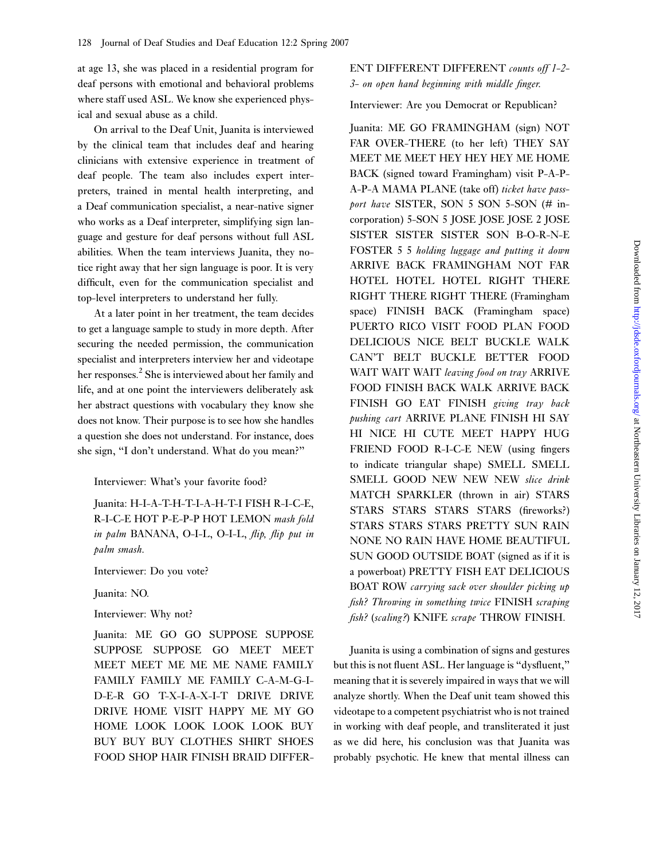at age 13, she was placed in a residential program for deaf persons with emotional and behavioral problems where staff used ASL. We know she experienced physical and sexual abuse as a child.

On arrival to the Deaf Unit, Juanita is interviewed by the clinical team that includes deaf and hearing clinicians with extensive experience in treatment of deaf people. The team also includes expert interpreters, trained in mental health interpreting, and a Deaf communication specialist, a near-native signer who works as a Deaf interpreter, simplifying sign language and gesture for deaf persons without full ASL abilities. When the team interviews Juanita, they notice right away that her sign language is poor. It is very difficult, even for the communication specialist and top-level interpreters to understand her fully.

At a later point in her treatment, the team decides to get a language sample to study in more depth. After securing the needed permission, the communication specialist and interpreters interview her and videotape her responses.<sup>2</sup> She is interviewed about her family and life, and at one point the interviewers deliberately ask her abstract questions with vocabulary they know she does not know. Their purpose is to see how she handles a question she does not understand. For instance, does she sign, ''I don't understand. What do you mean?''

Interviewer: What's your favorite food?

Juanita: H-I-A-T-H-T-I-A-H-T-I FISH R-I-C-E, R-I-C-E HOT P-E-P-P HOT LEMON mash fold in palm BANANA, O-I-L, O-I-L, flip, flip put in palm smash.

Interviewer: Do you vote?

Juanita: NO.

Interviewer: Why not?

Juanita: ME GO GO SUPPOSE SUPPOSE SUPPOSE SUPPOSE GO MEET MEET MEET MEET ME ME ME NAME FAMILY FAMILY FAMILY ME FAMILY C-A-M-G-I-D-E-R GO T-X-I-A-X-I-T DRIVE DRIVE DRIVE HOME VISIT HAPPY ME MY GO HOME LOOK LOOK LOOK LOOK BUY BUY BUY BUY CLOTHES SHIRT SHOES FOOD SHOP HAIR FINISH BRAID DIFFER- ENT DIFFERENT DIFFERENT counts off 1-2- 3- on open hand beginning with middle finger.

Interviewer: Are you Democrat or Republican?

Juanita: ME GO FRAMINGHAM (sign) NOT FAR OVER-THERE (to her left) THEY SAY MEET ME MEET HEY HEY HEY ME HOME BACK (signed toward Framingham) visit P-A-P-A-P-A MAMA PLANE (take off) ticket have passport have SISTER, SON 5 SON 5-SON (# incorporation) 5-SON 5 JOSE JOSE JOSE 2 JOSE SISTER SISTER SISTER SON B-O-R-N-E FOSTER 5 5 holding luggage and putting it down ARRIVE BACK FRAMINGHAM NOT FAR HOTEL HOTEL HOTEL RIGHT THERE RIGHT THERE RIGHT THERE (Framingham space) FINISH BACK (Framingham space) PUERTO RICO VISIT FOOD PLAN FOOD DELICIOUS NICE BELT BUCKLE WALK CAN'T BELT BUCKLE BETTER FOOD WAIT WAIT WAIT leaving food on tray ARRIVE FOOD FINISH BACK WALK ARRIVE BACK FINISH GO EAT FINISH giving tray back pushing cart ARRIVE PLANE FINISH HI SAY HI NICE HI CUTE MEET HAPPY HUG FRIEND FOOD R-I-C-E NEW (using fingers to indicate triangular shape) SMELL SMELL SMELL GOOD NEW NEW NEW slice drink MATCH SPARKLER (thrown in air) STARS STARS STARS STARS STARS (fireworks?) STARS STARS STARS PRETTY SUN RAIN NONE NO RAIN HAVE HOME BEAUTIFUL SUN GOOD OUTSIDE BOAT (signed as if it is a powerboat) PRETTY FISH EAT DELICIOUS BOAT ROW carrying sack over shoulder picking up fish? Throwing in something twice FINISH scraping fish? (scaling?) KNIFE scrape THROW FINISH.

Juanita is using a combination of signs and gestures but this is not fluent ASL. Her language is ''dysfluent,'' meaning that it is severely impaired in ways that we will analyze shortly. When the Deaf unit team showed this videotape to a competent psychiatrist who is not trained in working with deaf people, and transliterated it just as we did here, his conclusion was that Juanita was probably psychotic. He knew that mental illness can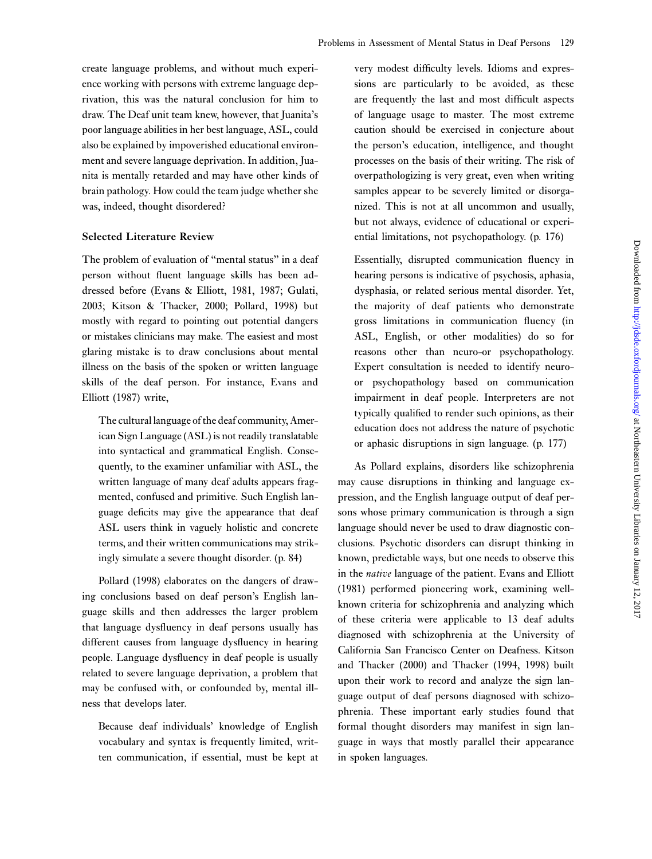create language problems, and without much experience working with persons with extreme language deprivation, this was the natural conclusion for him to draw. The Deaf unit team knew, however, that Juanita's poor language abilities in her best language, ASL, could also be explained by impoverished educational environment and severe language deprivation. In addition, Juanita is mentally retarded and may have other kinds of brain pathology. How could the team judge whether she was, indeed, thought disordered?

## Selected Literature Review

The problem of evaluation of "mental status" in a deaf person without fluent language skills has been addressed before (Evans & Elliott, 1981, 1987; Gulati, 2003; Kitson & Thacker, 2000; Pollard, 1998) but mostly with regard to pointing out potential dangers or mistakes clinicians may make. The easiest and most glaring mistake is to draw conclusions about mental illness on the basis of the spoken or written language skills of the deaf person. For instance, Evans and Elliott (1987) write,

The cultural language of the deaf community, American Sign Language (ASL) is not readily translatable into syntactical and grammatical English. Consequently, to the examiner unfamiliar with ASL, the written language of many deaf adults appears fragmented, confused and primitive. Such English language deficits may give the appearance that deaf ASL users think in vaguely holistic and concrete terms, and their written communications may strikingly simulate a severe thought disorder. (p. 84)

Pollard (1998) elaborates on the dangers of drawing conclusions based on deaf person's English language skills and then addresses the larger problem that language dysfluency in deaf persons usually has different causes from language dysfluency in hearing people. Language dysfluency in deaf people is usually related to severe language deprivation, a problem that may be confused with, or confounded by, mental illness that develops later.

Because deaf individuals' knowledge of English vocabulary and syntax is frequently limited, written communication, if essential, must be kept at very modest difficulty levels. Idioms and expressions are particularly to be avoided, as these are frequently the last and most difficult aspects of language usage to master. The most extreme caution should be exercised in conjecture about the person's education, intelligence, and thought processes on the basis of their writing. The risk of overpathologizing is very great, even when writing samples appear to be severely limited or disorganized. This is not at all uncommon and usually, but not always, evidence of educational or experiential limitations, not psychopathology. (p. 176)

Essentially, disrupted communication fluency in hearing persons is indicative of psychosis, aphasia, dysphasia, or related serious mental disorder. Yet, the majority of deaf patients who demonstrate gross limitations in communication fluency (in ASL, English, or other modalities) do so for reasons other than neuro-or psychopathology. Expert consultation is needed to identify neuroor psychopathology based on communication impairment in deaf people. Interpreters are not typically qualified to render such opinions, as their education does not address the nature of psychotic or aphasic disruptions in sign language. (p. 177)

As Pollard explains, disorders like schizophrenia may cause disruptions in thinking and language expression, and the English language output of deaf persons whose primary communication is through a sign language should never be used to draw diagnostic conclusions. Psychotic disorders can disrupt thinking in known, predictable ways, but one needs to observe this in the native language of the patient. Evans and Elliott (1981) performed pioneering work, examining wellknown criteria for schizophrenia and analyzing which of these criteria were applicable to 13 deaf adults diagnosed with schizophrenia at the University of California San Francisco Center on Deafness. Kitson and Thacker (2000) and Thacker (1994, 1998) built upon their work to record and analyze the sign language output of deaf persons diagnosed with schizophrenia. These important early studies found that formal thought disorders may manifest in sign language in ways that mostly parallel their appearance in spoken languages.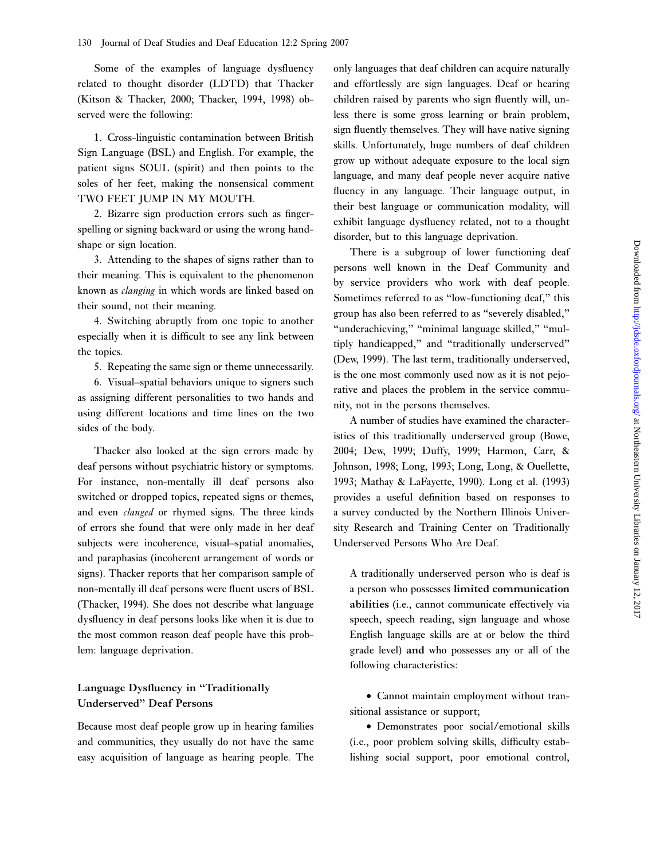Some of the examples of language dysfluency related to thought disorder (LDTD) that Thacker (Kitson & Thacker, 2000; Thacker, 1994, 1998) observed were the following:

1. Cross-linguistic contamination between British Sign Language (BSL) and English. For example, the patient signs SOUL (spirit) and then points to the soles of her feet, making the nonsensical comment TWO FEET JUMP IN MY MOUTH.

2. Bizarre sign production errors such as fingerspelling or signing backward or using the wrong handshape or sign location.

3. Attending to the shapes of signs rather than to their meaning. This is equivalent to the phenomenon known as clanging in which words are linked based on their sound, not their meaning.

4. Switching abruptly from one topic to another especially when it is difficult to see any link between the topics.

5. Repeating the same sign or theme unnecessarily.

6. Visual–spatial behaviors unique to signers such as assigning different personalities to two hands and using different locations and time lines on the two sides of the body.

Thacker also looked at the sign errors made by deaf persons without psychiatric history or symptoms. For instance, non-mentally ill deaf persons also switched or dropped topics, repeated signs or themes, and even clanged or rhymed signs. The three kinds of errors she found that were only made in her deaf subjects were incoherence, visual–spatial anomalies, and paraphasias (incoherent arrangement of words or signs). Thacker reports that her comparison sample of non-mentally ill deaf persons were fluent users of BSL (Thacker, 1994). She does not describe what language dysfluency in deaf persons looks like when it is due to the most common reason deaf people have this problem: language deprivation.

# Language Dysfluency in ''Traditionally Underserved'' Deaf Persons

Because most deaf people grow up in hearing families and communities, they usually do not have the same easy acquisition of language as hearing people. The only languages that deaf children can acquire naturally and effortlessly are sign languages. Deaf or hearing children raised by parents who sign fluently will, unless there is some gross learning or brain problem, sign fluently themselves. They will have native signing skills. Unfortunately, huge numbers of deaf children grow up without adequate exposure to the local sign language, and many deaf people never acquire native fluency in any language. Their language output, in their best language or communication modality, will exhibit language dysfluency related, not to a thought disorder, but to this language deprivation.

There is a subgroup of lower functioning deaf persons well known in the Deaf Community and by service providers who work with deaf people. Sometimes referred to as "low-functioning deaf," this group has also been referred to as ''severely disabled,'' ''underachieving,'' ''minimal language skilled,'' ''multiply handicapped,'' and ''traditionally underserved'' (Dew, 1999). The last term, traditionally underserved, is the one most commonly used now as it is not pejorative and places the problem in the service community, not in the persons themselves.

A number of studies have examined the characteristics of this traditionally underserved group (Bowe, 2004; Dew, 1999; Duffy, 1999; Harmon, Carr, & Johnson, 1998; Long, 1993; Long, Long, & Ouellette, 1993; Mathay & LaFayette, 1990). Long et al. (1993) provides a useful definition based on responses to a survey conducted by the Northern Illinois University Research and Training Center on Traditionally Underserved Persons Who Are Deaf.

A traditionally underserved person who is deaf is a person who possesses limited communication abilities (i.e., cannot communicate effectively via speech, speech reading, sign language and whose English language skills are at or below the third grade level) and who possesses any or all of the following characteristics:

• Cannot maintain employment without transitional assistance or support;

• Demonstrates poor social/emotional skills (i.e., poor problem solving skills, difficulty establishing social support, poor emotional control,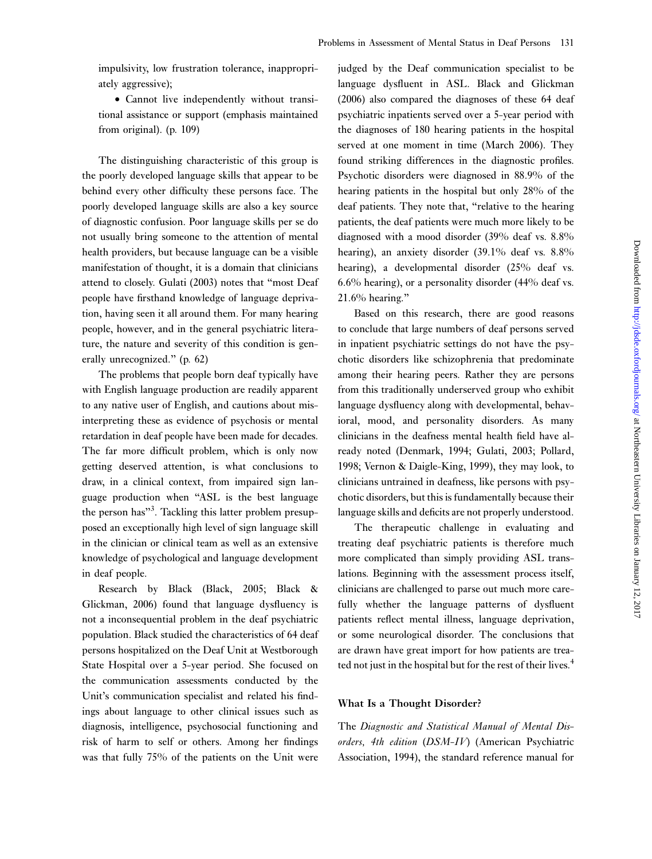impulsivity, low frustration tolerance, inappropriately aggressive);

• Cannot live independently without transitional assistance or support (emphasis maintained from original). (p. 109)

The distinguishing characteristic of this group is the poorly developed language skills that appear to be behind every other difficulty these persons face. The poorly developed language skills are also a key source of diagnostic confusion. Poor language skills per se do not usually bring someone to the attention of mental health providers, but because language can be a visible manifestation of thought, it is a domain that clinicians attend to closely. Gulati (2003) notes that ''most Deaf people have firsthand knowledge of language deprivation, having seen it all around them. For many hearing people, however, and in the general psychiatric literature, the nature and severity of this condition is generally unrecognized.'' (p. 62)

The problems that people born deaf typically have with English language production are readily apparent to any native user of English, and cautions about misinterpreting these as evidence of psychosis or mental retardation in deaf people have been made for decades. The far more difficult problem, which is only now getting deserved attention, is what conclusions to draw, in a clinical context, from impaired sign language production when ''ASL is the best language the person has"<sup>3</sup>. Tackling this latter problem presupposed an exceptionally high level of sign language skill in the clinician or clinical team as well as an extensive knowledge of psychological and language development in deaf people.

Research by Black (Black, 2005; Black & Glickman, 2006) found that language dysfluency is not a inconsequential problem in the deaf psychiatric population. Black studied the characteristics of 64 deaf persons hospitalized on the Deaf Unit at Westborough State Hospital over a 5-year period. She focused on the communication assessments conducted by the Unit's communication specialist and related his findings about language to other clinical issues such as diagnosis, intelligence, psychosocial functioning and risk of harm to self or others. Among her findings was that fully 75% of the patients on the Unit were judged by the Deaf communication specialist to be language dysfluent in ASL. Black and Glickman (2006) also compared the diagnoses of these 64 deaf psychiatric inpatients served over a 5-year period with the diagnoses of 180 hearing patients in the hospital served at one moment in time (March 2006). They found striking differences in the diagnostic profiles. Psychotic disorders were diagnosed in 88.9% of the hearing patients in the hospital but only 28% of the deaf patients. They note that, ''relative to the hearing patients, the deaf patients were much more likely to be diagnosed with a mood disorder (39% deaf vs. 8.8% hearing), an anxiety disorder (39.1% deaf vs. 8.8% hearing), a developmental disorder (25% deaf vs. 6.6% hearing), or a personality disorder (44% deaf vs. 21.6% hearing.''

Based on this research, there are good reasons to conclude that large numbers of deaf persons served in inpatient psychiatric settings do not have the psychotic disorders like schizophrenia that predominate among their hearing peers. Rather they are persons from this traditionally underserved group who exhibit language dysfluency along with developmental, behavioral, mood, and personality disorders. As many clinicians in the deafness mental health field have already noted (Denmark, 1994; Gulati, 2003; Pollard, 1998; Vernon & Daigle-King, 1999), they may look, to clinicians untrained in deafness, like persons with psychotic disorders, but this is fundamentally because their language skills and deficits are not properly understood.

The therapeutic challenge in evaluating and treating deaf psychiatric patients is therefore much more complicated than simply providing ASL translations. Beginning with the assessment process itself, clinicians are challenged to parse out much more carefully whether the language patterns of dysfluent patients reflect mental illness, language deprivation, or some neurological disorder. The conclusions that are drawn have great import for how patients are treated not just in the hospital but for the rest of their lives.<sup>4</sup>

## What Is a Thought Disorder?

The Diagnostic and Statistical Manual of Mental Disorders, 4th edition (DSM-IV) (American Psychiatric Association, 1994), the standard reference manual for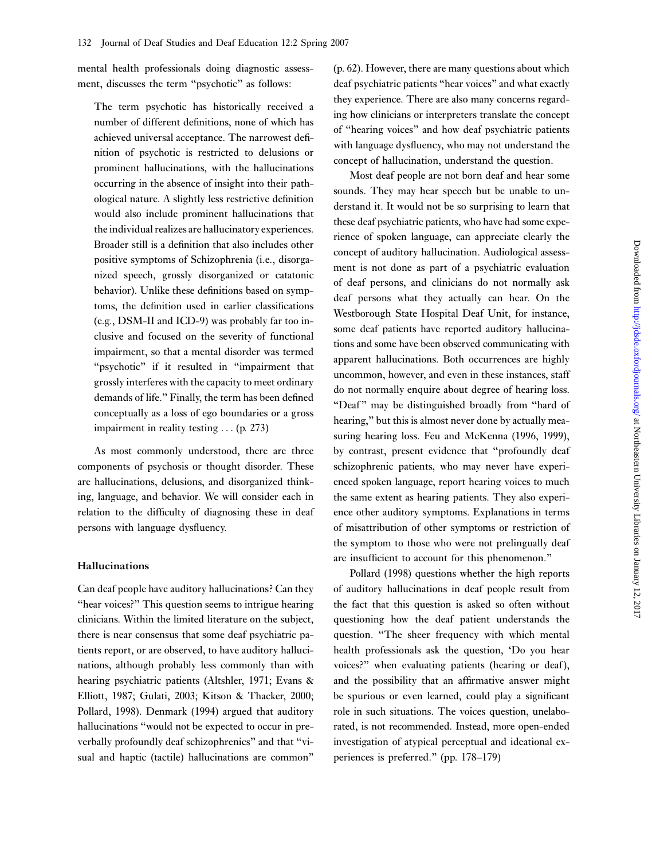mental health professionals doing diagnostic assessment, discusses the term ''psychotic'' as follows:

The term psychotic has historically received a number of different definitions, none of which has achieved universal acceptance. The narrowest definition of psychotic is restricted to delusions or prominent hallucinations, with the hallucinations occurring in the absence of insight into their pathological nature. A slightly less restrictive definition would also include prominent hallucinations that the individual realizes are hallucinatory experiences. Broader still is a definition that also includes other positive symptoms of Schizophrenia (i.e., disorganized speech, grossly disorganized or catatonic behavior). Unlike these definitions based on symptoms, the definition used in earlier classifications (e.g., DSM-II and ICD-9) was probably far too inclusive and focused on the severity of functional impairment, so that a mental disorder was termed "psychotic" if it resulted in "impairment that grossly interferes with the capacity to meet ordinary demands of life.'' Finally, the term has been defined conceptually as a loss of ego boundaries or a gross impairment in reality testing ... (p. 273)

As most commonly understood, there are three components of psychosis or thought disorder. These are hallucinations, delusions, and disorganized thinking, language, and behavior. We will consider each in relation to the difficulty of diagnosing these in deaf persons with language dysfluency.

## Hallucinations

Can deaf people have auditory hallucinations? Can they "hear voices?" This question seems to intrigue hearing clinicians. Within the limited literature on the subject, there is near consensus that some deaf psychiatric patients report, or are observed, to have auditory hallucinations, although probably less commonly than with hearing psychiatric patients (Altshler, 1971; Evans & Elliott, 1987; Gulati, 2003; Kitson & Thacker, 2000; Pollard, 1998). Denmark (1994) argued that auditory hallucinations ''would not be expected to occur in preverbally profoundly deaf schizophrenics'' and that ''visual and haptic (tactile) hallucinations are common''

(p. 62). However, there are many questions about which deaf psychiatric patients ''hear voices'' and what exactly they experience. There are also many concerns regarding how clinicians or interpreters translate the concept of ''hearing voices'' and how deaf psychiatric patients with language dysfluency, who may not understand the concept of hallucination, understand the question.

Most deaf people are not born deaf and hear some sounds. They may hear speech but be unable to understand it. It would not be so surprising to learn that these deaf psychiatric patients, who have had some experience of spoken language, can appreciate clearly the concept of auditory hallucination. Audiological assessment is not done as part of a psychiatric evaluation of deaf persons, and clinicians do not normally ask deaf persons what they actually can hear. On the Westborough State Hospital Deaf Unit, for instance, some deaf patients have reported auditory hallucinations and some have been observed communicating with apparent hallucinations. Both occurrences are highly uncommon, however, and even in these instances, staff do not normally enquire about degree of hearing loss. "Deaf" may be distinguished broadly from "hard of hearing," but this is almost never done by actually measuring hearing loss. Feu and McKenna (1996, 1999), by contrast, present evidence that ''profoundly deaf schizophrenic patients, who may never have experienced spoken language, report hearing voices to much the same extent as hearing patients. They also experience other auditory symptoms. Explanations in terms of misattribution of other symptoms or restriction of the symptom to those who were not prelingually deaf are insufficient to account for this phenomenon.''

Pollard (1998) questions whether the high reports of auditory hallucinations in deaf people result from the fact that this question is asked so often without questioning how the deaf patient understands the question. ''The sheer frequency with which mental health professionals ask the question, 'Do you hear voices?" when evaluating patients (hearing or deaf), and the possibility that an affirmative answer might be spurious or even learned, could play a significant role in such situations. The voices question, unelaborated, is not recommended. Instead, more open-ended investigation of atypical perceptual and ideational experiences is preferred.'' (pp. 178–179)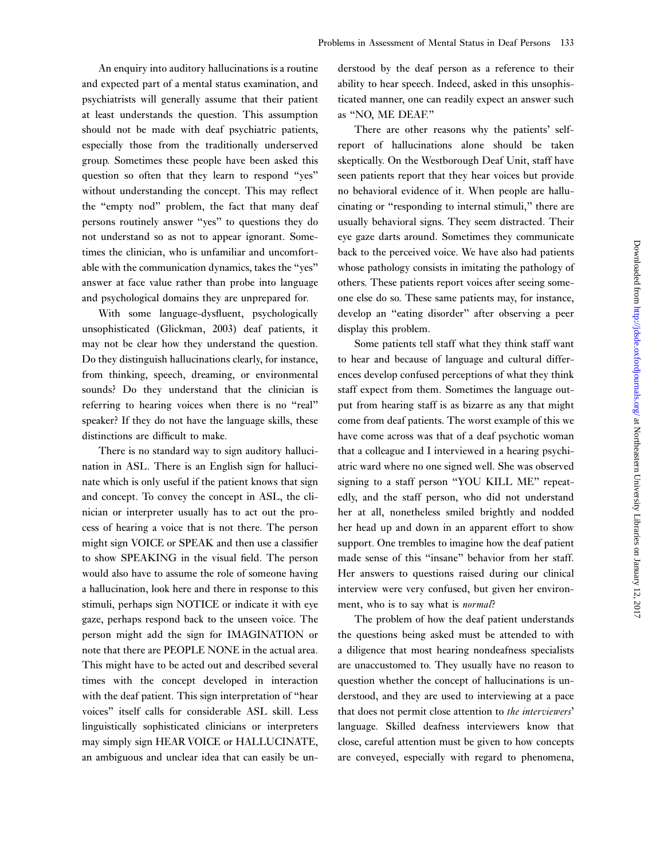An enquiry into auditory hallucinations is a routine and expected part of a mental status examination, and psychiatrists will generally assume that their patient at least understands the question. This assumption should not be made with deaf psychiatric patients, especially those from the traditionally underserved group. Sometimes these people have been asked this question so often that they learn to respond ''yes'' without understanding the concept. This may reflect the ''empty nod'' problem, the fact that many deaf persons routinely answer ''yes'' to questions they do not understand so as not to appear ignorant. Sometimes the clinician, who is unfamiliar and uncomfortable with the communication dynamics, takes the ''yes'' answer at face value rather than probe into language and psychological domains they are unprepared for.

With some language-dysfluent, psychologically unsophisticated (Glickman, 2003) deaf patients, it may not be clear how they understand the question. Do they distinguish hallucinations clearly, for instance, from thinking, speech, dreaming, or environmental sounds? Do they understand that the clinician is referring to hearing voices when there is no "real" speaker? If they do not have the language skills, these distinctions are difficult to make.

There is no standard way to sign auditory hallucination in ASL. There is an English sign for hallucinate which is only useful if the patient knows that sign and concept. To convey the concept in ASL, the clinician or interpreter usually has to act out the process of hearing a voice that is not there. The person might sign VOICE or SPEAK and then use a classifier to show SPEAKING in the visual field. The person would also have to assume the role of someone having a hallucination, look here and there in response to this stimuli, perhaps sign NOTICE or indicate it with eye gaze, perhaps respond back to the unseen voice. The person might add the sign for IMAGINATION or note that there are PEOPLE NONE in the actual area. This might have to be acted out and described several times with the concept developed in interaction with the deaf patient. This sign interpretation of ''hear voices'' itself calls for considerable ASL skill. Less linguistically sophisticated clinicians or interpreters may simply sign HEAR VOICE or HALLUCINATE, an ambiguous and unclear idea that can easily be understood by the deaf person as a reference to their ability to hear speech. Indeed, asked in this unsophisticated manner, one can readily expect an answer such as ''NO, ME DEAF.''

There are other reasons why the patients' selfreport of hallucinations alone should be taken skeptically. On the Westborough Deaf Unit, staff have seen patients report that they hear voices but provide no behavioral evidence of it. When people are hallucinating or ''responding to internal stimuli,'' there are usually behavioral signs. They seem distracted. Their eye gaze darts around. Sometimes they communicate back to the perceived voice. We have also had patients whose pathology consists in imitating the pathology of others. These patients report voices after seeing someone else do so. These same patients may, for instance, develop an ''eating disorder'' after observing a peer display this problem.

Some patients tell staff what they think staff want to hear and because of language and cultural differences develop confused perceptions of what they think staff expect from them. Sometimes the language output from hearing staff is as bizarre as any that might come from deaf patients. The worst example of this we have come across was that of a deaf psychotic woman that a colleague and I interviewed in a hearing psychiatric ward where no one signed well. She was observed signing to a staff person "YOU KILL ME" repeatedly, and the staff person, who did not understand her at all, nonetheless smiled brightly and nodded her head up and down in an apparent effort to show support. One trembles to imagine how the deaf patient made sense of this ''insane'' behavior from her staff. Her answers to questions raised during our clinical interview were very confused, but given her environment, who is to say what is *normal*?

The problem of how the deaf patient understands the questions being asked must be attended to with a diligence that most hearing nondeafness specialists are unaccustomed to. They usually have no reason to question whether the concept of hallucinations is understood, and they are used to interviewing at a pace that does not permit close attention to the interviewers' language. Skilled deafness interviewers know that close, careful attention must be given to how concepts are conveyed, especially with regard to phenomena,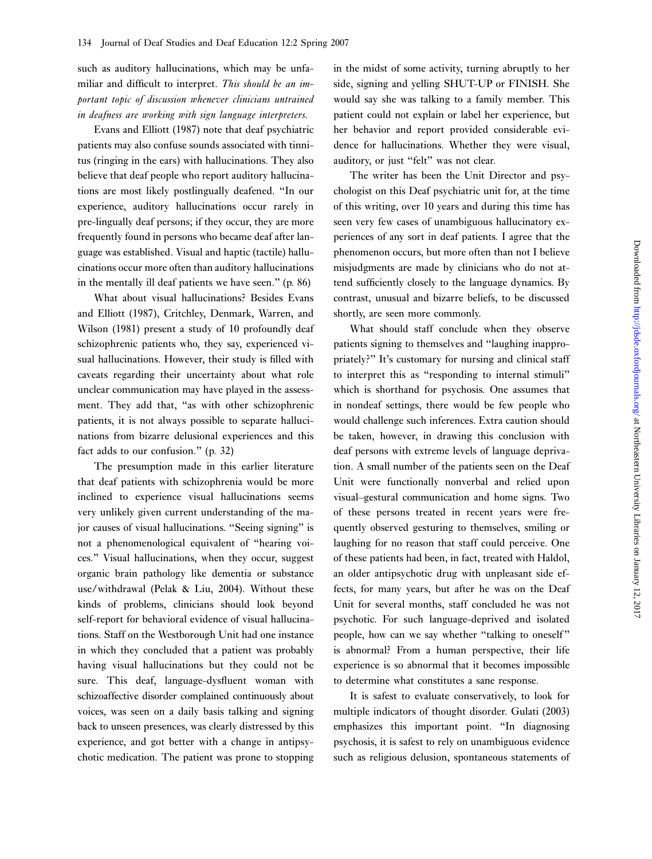such as auditory hallucinations, which may be unfamiliar and difficult to interpret. This should be an important topic of discussion whenever clinicians untrained in deafness are working with sign language interpreters.

Evans and Elliott (1987) note that deaf psychiatric patients may also confuse sounds associated with tinnitus (ringing in the ears) with hallucinations. They also believe that deaf people who report auditory hallucinations are most likely postlingually deafened. ''In our experience, auditory hallucinations occur rarely in pre-lingually deaf persons; if they occur, they are more frequently found in persons who became deaf after language was established. Visual and haptic (tactile) hallucinations occur more often than auditory hallucinations in the mentally ill deaf patients we have seen.'' (p. 86)

What about visual hallucinations? Besides Evans and Elliott (1987), Critchley, Denmark, Warren, and Wilson (1981) present a study of 10 profoundly deaf schizophrenic patients who, they say, experienced visual hallucinations. However, their study is filled with caveats regarding their uncertainty about what role unclear communication may have played in the assessment. They add that, "as with other schizophrenic patients, it is not always possible to separate hallucinations from bizarre delusional experiences and this fact adds to our confusion.'' (p. 32)

The presumption made in this earlier literature that deaf patients with schizophrenia would be more inclined to experience visual hallucinations seems very unlikely given current understanding of the major causes of visual hallucinations. ''Seeing signing'' is not a phenomenological equivalent of ''hearing voices.'' Visual hallucinations, when they occur, suggest organic brain pathology like dementia or substance use/withdrawal (Pelak & Liu, 2004). Without these kinds of problems, clinicians should look beyond self-report for behavioral evidence of visual hallucinations. Staff on the Westborough Unit had one instance in which they concluded that a patient was probably having visual hallucinations but they could not be sure. This deaf, language-dysfluent woman with schizoaffective disorder complained continuously about voices, was seen on a daily basis talking and signing back to unseen presences, was clearly distressed by this experience, and got better with a change in antipsychotic medication. The patient was prone to stopping

in the midst of some activity, turning abruptly to her side, signing and yelling SHUT-UP or FINISH. She would say she was talking to a family member. This patient could not explain or label her experience, but her behavior and report provided considerable evidence for hallucinations. Whether they were visual, auditory, or just "felt" was not clear.

The writer has been the Unit Director and psychologist on this Deaf psychiatric unit for, at the time of this writing, over 10 years and during this time has seen very few cases of unambiguous hallucinatory experiences of any sort in deaf patients. I agree that the phenomenon occurs, but more often than not I believe misjudgments are made by clinicians who do not attend sufficiently closely to the language dynamics. By contrast, unusual and bizarre beliefs, to be discussed shortly, are seen more commonly.

What should staff conclude when they observe patients signing to themselves and ''laughing inappropriately?'' It's customary for nursing and clinical staff to interpret this as ''responding to internal stimuli'' which is shorthand for psychosis. One assumes that in nondeaf settings, there would be few people who would challenge such inferences. Extra caution should be taken, however, in drawing this conclusion with deaf persons with extreme levels of language deprivation. A small number of the patients seen on the Deaf Unit were functionally nonverbal and relied upon visual–gestural communication and home signs. Two of these persons treated in recent years were frequently observed gesturing to themselves, smiling or laughing for no reason that staff could perceive. One of these patients had been, in fact, treated with Haldol, an older antipsychotic drug with unpleasant side effects, for many years, but after he was on the Deaf Unit for several months, staff concluded he was not psychotic. For such language-deprived and isolated people, how can we say whether "talking to oneself" is abnormal? From a human perspective, their life experience is so abnormal that it becomes impossible to determine what constitutes a sane response.

It is safest to evaluate conservatively, to look for multiple indicators of thought disorder. Gulati (2003) emphasizes this important point. ''In diagnosing psychosis, it is safest to rely on unambiguous evidence such as religious delusion, spontaneous statements of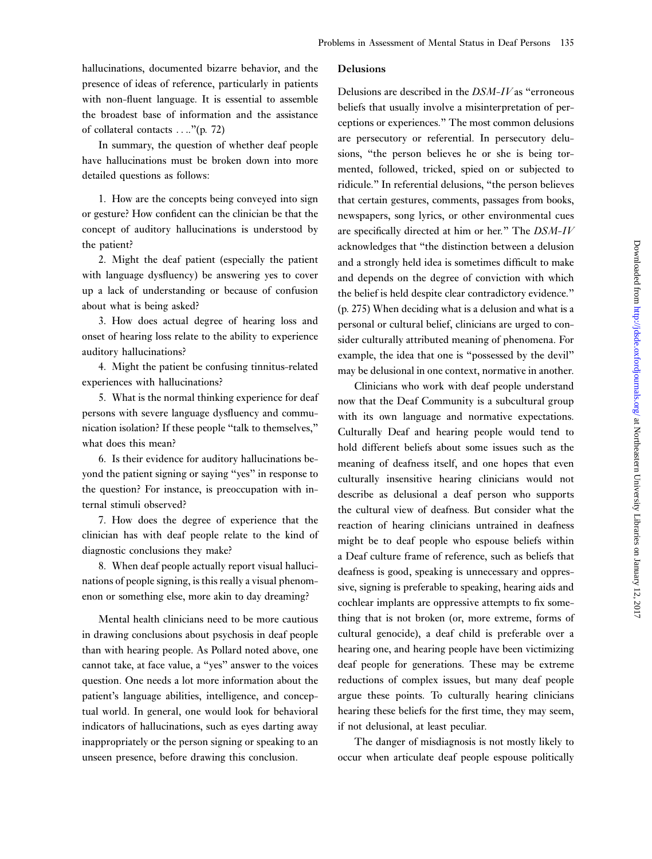hallucinations, documented bizarre behavior, and the presence of ideas of reference, particularly in patients with non-fluent language. It is essential to assemble the broadest base of information and the assistance of collateral contacts ....''(p. 72)

In summary, the question of whether deaf people have hallucinations must be broken down into more detailed questions as follows:

1. How are the concepts being conveyed into sign or gesture? How confident can the clinician be that the concept of auditory hallucinations is understood by the patient?

2. Might the deaf patient (especially the patient with language dysfluency) be answering yes to cover up a lack of understanding or because of confusion about what is being asked?

3. How does actual degree of hearing loss and onset of hearing loss relate to the ability to experience auditory hallucinations?

4. Might the patient be confusing tinnitus-related experiences with hallucinations?

5. What is the normal thinking experience for deaf persons with severe language dysfluency and communication isolation? If these people "talk to themselves," what does this mean?

6. Is their evidence for auditory hallucinations beyond the patient signing or saying ''yes'' in response to the question? For instance, is preoccupation with internal stimuli observed?

7. How does the degree of experience that the clinician has with deaf people relate to the kind of diagnostic conclusions they make?

8. When deaf people actually report visual hallucinations of people signing, is this really a visual phenomenon or something else, more akin to day dreaming?

Mental health clinicians need to be more cautious in drawing conclusions about psychosis in deaf people than with hearing people. As Pollard noted above, one cannot take, at face value, a ''yes'' answer to the voices question. One needs a lot more information about the patient's language abilities, intelligence, and conceptual world. In general, one would look for behavioral indicators of hallucinations, such as eyes darting away inappropriately or the person signing or speaking to an unseen presence, before drawing this conclusion.

#### Delusions

Delusions are described in the DSM-IV as ''erroneous beliefs that usually involve a misinterpretation of perceptions or experiences.'' The most common delusions are persecutory or referential. In persecutory delusions, ''the person believes he or she is being tormented, followed, tricked, spied on or subjected to ridicule.'' In referential delusions, ''the person believes that certain gestures, comments, passages from books, newspapers, song lyrics, or other environmental cues are specifically directed at him or her." The DSM-IV acknowledges that ''the distinction between a delusion and a strongly held idea is sometimes difficult to make and depends on the degree of conviction with which the belief is held despite clear contradictory evidence.'' (p. 275) When deciding what is a delusion and what is a personal or cultural belief, clinicians are urged to consider culturally attributed meaning of phenomena. For example, the idea that one is ''possessed by the devil'' may be delusional in one context, normative in another.

Clinicians who work with deaf people understand now that the Deaf Community is a subcultural group with its own language and normative expectations. Culturally Deaf and hearing people would tend to hold different beliefs about some issues such as the meaning of deafness itself, and one hopes that even culturally insensitive hearing clinicians would not describe as delusional a deaf person who supports the cultural view of deafness. But consider what the reaction of hearing clinicians untrained in deafness might be to deaf people who espouse beliefs within a Deaf culture frame of reference, such as beliefs that deafness is good, speaking is unnecessary and oppressive, signing is preferable to speaking, hearing aids and cochlear implants are oppressive attempts to fix something that is not broken (or, more extreme, forms of cultural genocide), a deaf child is preferable over a hearing one, and hearing people have been victimizing deaf people for generations. These may be extreme reductions of complex issues, but many deaf people argue these points. To culturally hearing clinicians hearing these beliefs for the first time, they may seem, if not delusional, at least peculiar.

The danger of misdiagnosis is not mostly likely to occur when articulate deaf people espouse politically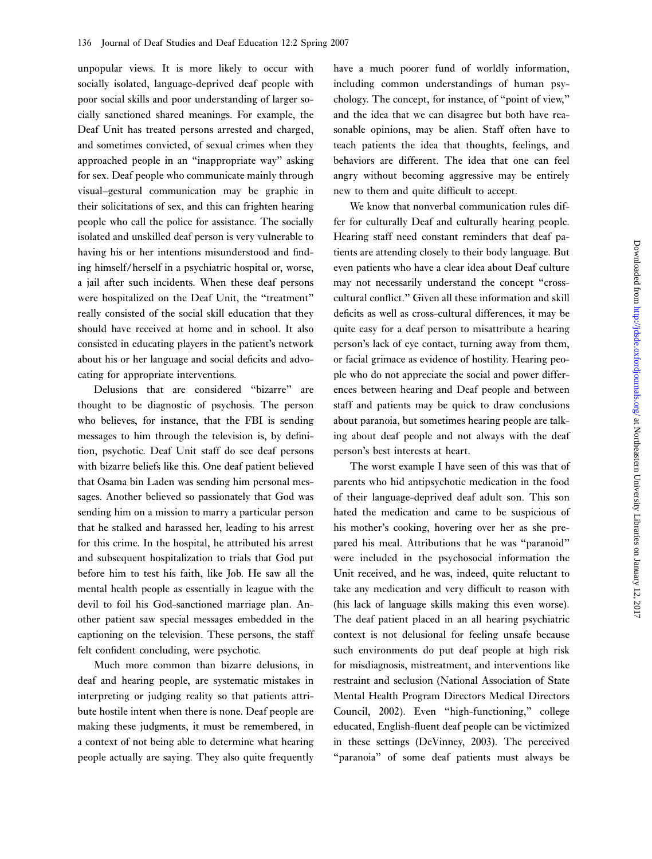unpopular views. It is more likely to occur with socially isolated, language-deprived deaf people with poor social skills and poor understanding of larger socially sanctioned shared meanings. For example, the Deaf Unit has treated persons arrested and charged, and sometimes convicted, of sexual crimes when they approached people in an ''inappropriate way'' asking for sex. Deaf people who communicate mainly through visual–gestural communication may be graphic in their solicitations of sex, and this can frighten hearing people who call the police for assistance. The socially isolated and unskilled deaf person is very vulnerable to having his or her intentions misunderstood and finding himself/herself in a psychiatric hospital or, worse, a jail after such incidents. When these deaf persons were hospitalized on the Deaf Unit, the "treatment" really consisted of the social skill education that they should have received at home and in school. It also consisted in educating players in the patient's network about his or her language and social deficits and advocating for appropriate interventions.

Delusions that are considered ''bizarre'' are thought to be diagnostic of psychosis. The person who believes, for instance, that the FBI is sending messages to him through the television is, by definition, psychotic. Deaf Unit staff do see deaf persons with bizarre beliefs like this. One deaf patient believed that Osama bin Laden was sending him personal messages. Another believed so passionately that God was sending him on a mission to marry a particular person that he stalked and harassed her, leading to his arrest for this crime. In the hospital, he attributed his arrest and subsequent hospitalization to trials that God put before him to test his faith, like Job. He saw all the mental health people as essentially in league with the devil to foil his God-sanctioned marriage plan. Another patient saw special messages embedded in the captioning on the television. These persons, the staff felt confident concluding, were psychotic.

Much more common than bizarre delusions, in deaf and hearing people, are systematic mistakes in interpreting or judging reality so that patients attribute hostile intent when there is none. Deaf people are making these judgments, it must be remembered, in a context of not being able to determine what hearing people actually are saying. They also quite frequently have a much poorer fund of worldly information, including common understandings of human psychology. The concept, for instance, of ''point of view,'' and the idea that we can disagree but both have reasonable opinions, may be alien. Staff often have to teach patients the idea that thoughts, feelings, and behaviors are different. The idea that one can feel angry without becoming aggressive may be entirely new to them and quite difficult to accept.

We know that nonverbal communication rules differ for culturally Deaf and culturally hearing people. Hearing staff need constant reminders that deaf patients are attending closely to their body language. But even patients who have a clear idea about Deaf culture may not necessarily understand the concept ''crosscultural conflict.'' Given all these information and skill deficits as well as cross-cultural differences, it may be quite easy for a deaf person to misattribute a hearing person's lack of eye contact, turning away from them, or facial grimace as evidence of hostility. Hearing people who do not appreciate the social and power differences between hearing and Deaf people and between staff and patients may be quick to draw conclusions about paranoia, but sometimes hearing people are talking about deaf people and not always with the deaf person's best interests at heart.

The worst example I have seen of this was that of parents who hid antipsychotic medication in the food of their language-deprived deaf adult son. This son hated the medication and came to be suspicious of his mother's cooking, hovering over her as she prepared his meal. Attributions that he was ''paranoid'' were included in the psychosocial information the Unit received, and he was, indeed, quite reluctant to take any medication and very difficult to reason with (his lack of language skills making this even worse). The deaf patient placed in an all hearing psychiatric context is not delusional for feeling unsafe because such environments do put deaf people at high risk for misdiagnosis, mistreatment, and interventions like restraint and seclusion (National Association of State Mental Health Program Directors Medical Directors Council, 2002). Even ''high-functioning,'' college educated, English-fluent deaf people can be victimized in these settings (DeVinney, 2003). The perceived "paranoia" of some deaf patients must always be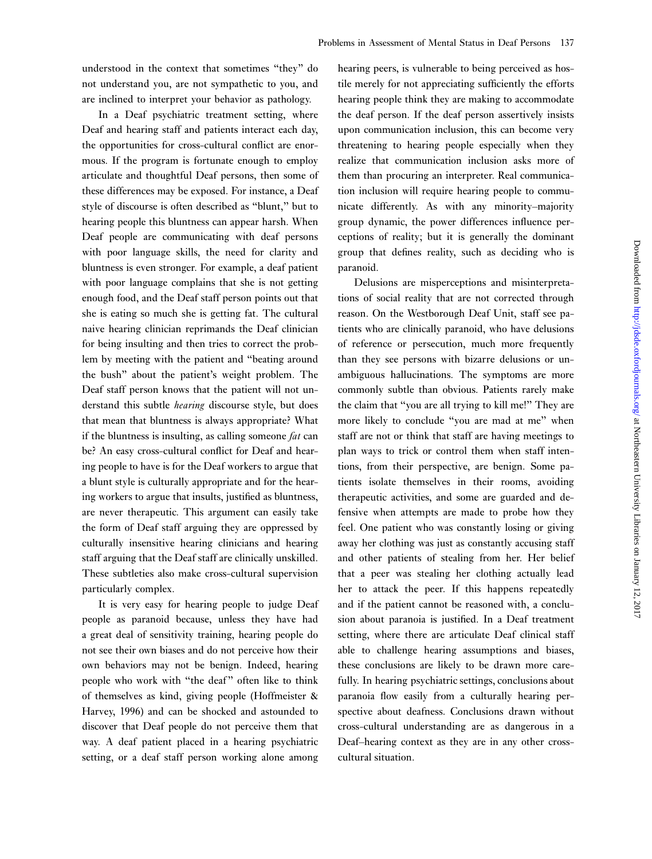understood in the context that sometimes ''they'' do not understand you, are not sympathetic to you, and are inclined to interpret your behavior as pathology.

In a Deaf psychiatric treatment setting, where Deaf and hearing staff and patients interact each day, the opportunities for cross-cultural conflict are enormous. If the program is fortunate enough to employ articulate and thoughtful Deaf persons, then some of these differences may be exposed. For instance, a Deaf style of discourse is often described as ''blunt,'' but to hearing people this bluntness can appear harsh. When Deaf people are communicating with deaf persons with poor language skills, the need for clarity and bluntness is even stronger. For example, a deaf patient with poor language complains that she is not getting enough food, and the Deaf staff person points out that she is eating so much she is getting fat. The cultural naive hearing clinician reprimands the Deaf clinician for being insulting and then tries to correct the problem by meeting with the patient and ''beating around the bush'' about the patient's weight problem. The Deaf staff person knows that the patient will not understand this subtle *hearing* discourse style, but does that mean that bluntness is always appropriate? What if the bluntness is insulting, as calling someone fat can be? An easy cross-cultural conflict for Deaf and hearing people to have is for the Deaf workers to argue that a blunt style is culturally appropriate and for the hearing workers to argue that insults, justified as bluntness, are never therapeutic. This argument can easily take the form of Deaf staff arguing they are oppressed by culturally insensitive hearing clinicians and hearing staff arguing that the Deaf staff are clinically unskilled. These subtleties also make cross-cultural supervision particularly complex.

It is very easy for hearing people to judge Deaf people as paranoid because, unless they have had a great deal of sensitivity training, hearing people do not see their own biases and do not perceive how their own behaviors may not be benign. Indeed, hearing people who work with "the deaf" often like to think of themselves as kind, giving people (Hoffmeister & Harvey, 1996) and can be shocked and astounded to discover that Deaf people do not perceive them that way. A deaf patient placed in a hearing psychiatric setting, or a deaf staff person working alone among hearing peers, is vulnerable to being perceived as hostile merely for not appreciating sufficiently the efforts hearing people think they are making to accommodate the deaf person. If the deaf person assertively insists upon communication inclusion, this can become very threatening to hearing people especially when they realize that communication inclusion asks more of them than procuring an interpreter. Real communication inclusion will require hearing people to communicate differently. As with any minority–majority group dynamic, the power differences influence perceptions of reality; but it is generally the dominant group that defines reality, such as deciding who is paranoid.

Delusions are misperceptions and misinterpretations of social reality that are not corrected through reason. On the Westborough Deaf Unit, staff see patients who are clinically paranoid, who have delusions of reference or persecution, much more frequently than they see persons with bizarre delusions or unambiguous hallucinations. The symptoms are more commonly subtle than obvious. Patients rarely make the claim that ''you are all trying to kill me!'' They are more likely to conclude ''you are mad at me'' when staff are not or think that staff are having meetings to plan ways to trick or control them when staff intentions, from their perspective, are benign. Some patients isolate themselves in their rooms, avoiding therapeutic activities, and some are guarded and defensive when attempts are made to probe how they feel. One patient who was constantly losing or giving away her clothing was just as constantly accusing staff and other patients of stealing from her. Her belief that a peer was stealing her clothing actually lead her to attack the peer. If this happens repeatedly and if the patient cannot be reasoned with, a conclusion about paranoia is justified. In a Deaf treatment setting, where there are articulate Deaf clinical staff able to challenge hearing assumptions and biases, these conclusions are likely to be drawn more carefully. In hearing psychiatric settings, conclusions about paranoia flow easily from a culturally hearing perspective about deafness. Conclusions drawn without cross-cultural understanding are as dangerous in a Deaf–hearing context as they are in any other crosscultural situation.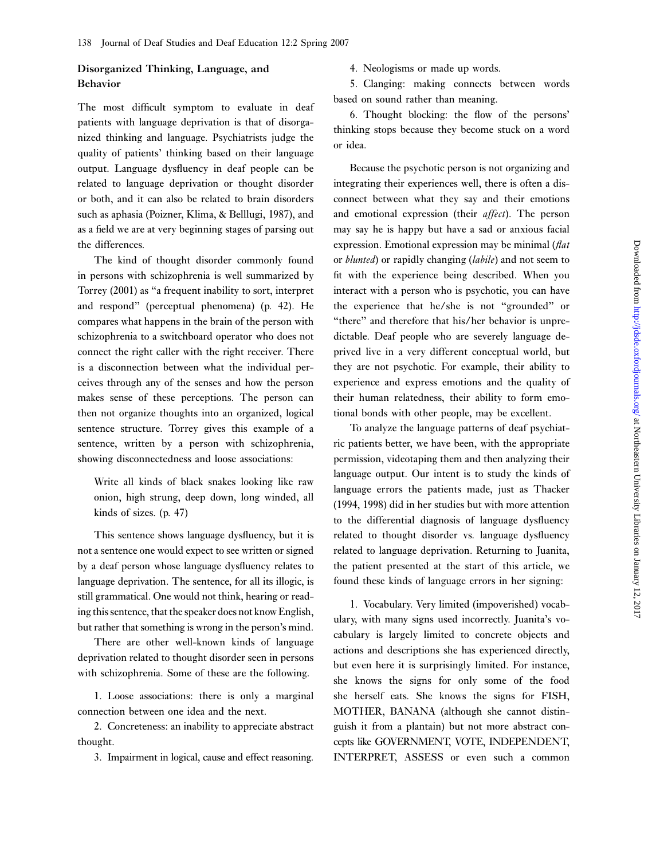## Disorganized Thinking, Language, and Behavior

The most difficult symptom to evaluate in deaf patients with language deprivation is that of disorganized thinking and language. Psychiatrists judge the quality of patients' thinking based on their language output. Language dysfluency in deaf people can be related to language deprivation or thought disorder or both, and it can also be related to brain disorders such as aphasia (Poizner, Klima, & Belllugi, 1987), and as a field we are at very beginning stages of parsing out the differences.

The kind of thought disorder commonly found in persons with schizophrenia is well summarized by Torrey (2001) as ''a frequent inability to sort, interpret and respond'' (perceptual phenomena) (p. 42). He compares what happens in the brain of the person with schizophrenia to a switchboard operator who does not connect the right caller with the right receiver. There is a disconnection between what the individual perceives through any of the senses and how the person makes sense of these perceptions. The person can then not organize thoughts into an organized, logical sentence structure. Torrey gives this example of a sentence, written by a person with schizophrenia, showing disconnectedness and loose associations:

Write all kinds of black snakes looking like raw onion, high strung, deep down, long winded, all kinds of sizes. (p. 47)

This sentence shows language dysfluency, but it is not a sentence one would expect to see written or signed by a deaf person whose language dysfluency relates to language deprivation. The sentence, for all its illogic, is still grammatical. One would not think, hearing or reading this sentence, that the speaker does not know English, but rather that something is wrong in the person's mind.

There are other well-known kinds of language deprivation related to thought disorder seen in persons with schizophrenia. Some of these are the following.

1. Loose associations: there is only a marginal connection between one idea and the next.

2. Concreteness: an inability to appreciate abstract thought.

3. Impairment in logical, cause and effect reasoning.

4. Neologisms or made up words.

5. Clanging: making connects between words based on sound rather than meaning.

6. Thought blocking: the flow of the persons' thinking stops because they become stuck on a word or idea.

Because the psychotic person is not organizing and integrating their experiences well, there is often a disconnect between what they say and their emotions and emotional expression (their affect). The person may say he is happy but have a sad or anxious facial expression. Emotional expression may be minimal (*flat* or blunted) or rapidly changing (labile) and not seem to fit with the experience being described. When you interact with a person who is psychotic, you can have the experience that he/she is not ''grounded'' or "there" and therefore that his/her behavior is unpredictable. Deaf people who are severely language deprived live in a very different conceptual world, but they are not psychotic. For example, their ability to experience and express emotions and the quality of their human relatedness, their ability to form emotional bonds with other people, may be excellent.

To analyze the language patterns of deaf psychiatric patients better, we have been, with the appropriate permission, videotaping them and then analyzing their language output. Our intent is to study the kinds of language errors the patients made, just as Thacker (1994, 1998) did in her studies but with more attention to the differential diagnosis of language dysfluency related to thought disorder vs. language dysfluency related to language deprivation. Returning to Juanita, the patient presented at the start of this article, we found these kinds of language errors in her signing:

1. Vocabulary. Very limited (impoverished) vocabulary, with many signs used incorrectly. Juanita's vocabulary is largely limited to concrete objects and actions and descriptions she has experienced directly, but even here it is surprisingly limited. For instance, she knows the signs for only some of the food she herself eats. She knows the signs for FISH, MOTHER, BANANA (although she cannot distinguish it from a plantain) but not more abstract concepts like GOVERNMENT, VOTE, INDEPENDENT, INTERPRET, ASSESS or even such a common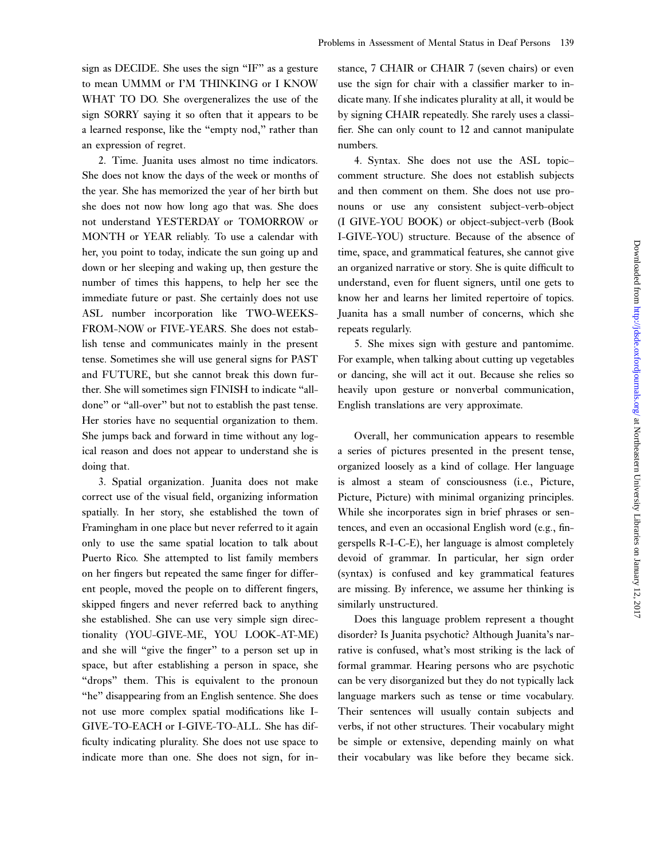sign as DECIDE. She uses the sign ''IF'' as a gesture to mean UMMM or I'M THINKING or I KNOW WHAT TO DO. She overgeneralizes the use of the sign SORRY saying it so often that it appears to be a learned response, like the ''empty nod,'' rather than an expression of regret.

2. Time. Juanita uses almost no time indicators. She does not know the days of the week or months of the year. She has memorized the year of her birth but she does not now how long ago that was. She does not understand YESTERDAY or TOMORROW or MONTH or YEAR reliably. To use a calendar with her, you point to today, indicate the sun going up and down or her sleeping and waking up, then gesture the number of times this happens, to help her see the immediate future or past. She certainly does not use ASL number incorporation like TWO-WEEKS-FROM-NOW or FIVE-YEARS. She does not establish tense and communicates mainly in the present tense. Sometimes she will use general signs for PAST and FUTURE, but she cannot break this down further. She will sometimes sign FINISH to indicate ''alldone" or "all-over" but not to establish the past tense. Her stories have no sequential organization to them. She jumps back and forward in time without any logical reason and does not appear to understand she is doing that.

3. Spatial organization. Juanita does not make correct use of the visual field, organizing information spatially. In her story, she established the town of Framingham in one place but never referred to it again only to use the same spatial location to talk about Puerto Rico. She attempted to list family members on her fingers but repeated the same finger for different people, moved the people on to different fingers, skipped fingers and never referred back to anything she established. She can use very simple sign directionality (YOU-GIVE-ME, YOU LOOK-AT-ME) and she will ''give the finger'' to a person set up in space, but after establishing a person in space, she "drops" them. This is equivalent to the pronoun ''he'' disappearing from an English sentence. She does not use more complex spatial modifications like I-GIVE-TO-EACH or I-GIVE-TO-ALL. She has difficulty indicating plurality. She does not use space to indicate more than one. She does not sign, for in-

stance, 7 CHAIR or CHAIR 7 (seven chairs) or even use the sign for chair with a classifier marker to indicate many. If she indicates plurality at all, it would be by signing CHAIR repeatedly. She rarely uses a classifier. She can only count to 12 and cannot manipulate numbers.

4. Syntax. She does not use the ASL topic– comment structure. She does not establish subjects and then comment on them. She does not use pronouns or use any consistent subject-verb-object (I GIVE-YOU BOOK) or object-subject-verb (Book I-GIVE-YOU) structure. Because of the absence of time, space, and grammatical features, she cannot give an organized narrative or story. She is quite difficult to understand, even for fluent signers, until one gets to know her and learns her limited repertoire of topics. Juanita has a small number of concerns, which she repeats regularly.

5. She mixes sign with gesture and pantomime. For example, when talking about cutting up vegetables or dancing, she will act it out. Because she relies so heavily upon gesture or nonverbal communication, English translations are very approximate.

Overall, her communication appears to resemble a series of pictures presented in the present tense, organized loosely as a kind of collage. Her language is almost a steam of consciousness (i.e., Picture, Picture, Picture) with minimal organizing principles. While she incorporates sign in brief phrases or sentences, and even an occasional English word (e.g., fingerspells R-I-C-E), her language is almost completely devoid of grammar. In particular, her sign order (syntax) is confused and key grammatical features are missing. By inference, we assume her thinking is similarly unstructured.

Does this language problem represent a thought disorder? Is Juanita psychotic? Although Juanita's narrative is confused, what's most striking is the lack of formal grammar. Hearing persons who are psychotic can be very disorganized but they do not typically lack language markers such as tense or time vocabulary. Their sentences will usually contain subjects and verbs, if not other structures. Their vocabulary might be simple or extensive, depending mainly on what their vocabulary was like before they became sick.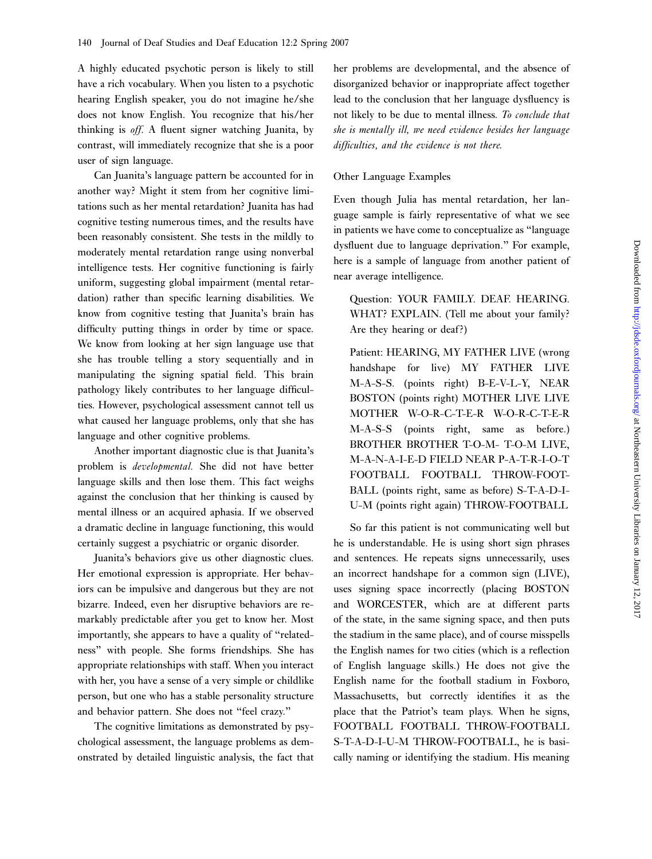A highly educated psychotic person is likely to still have a rich vocabulary. When you listen to a psychotic hearing English speaker, you do not imagine he/she does not know English. You recognize that his/her thinking is off. A fluent signer watching Juanita, by contrast, will immediately recognize that she is a poor user of sign language.

Can Juanita's language pattern be accounted for in another way? Might it stem from her cognitive limitations such as her mental retardation? Juanita has had cognitive testing numerous times, and the results have been reasonably consistent. She tests in the mildly to moderately mental retardation range using nonverbal intelligence tests. Her cognitive functioning is fairly uniform, suggesting global impairment (mental retardation) rather than specific learning disabilities. We know from cognitive testing that Juanita's brain has difficulty putting things in order by time or space. We know from looking at her sign language use that she has trouble telling a story sequentially and in manipulating the signing spatial field. This brain pathology likely contributes to her language difficulties. However, psychological assessment cannot tell us what caused her language problems, only that she has language and other cognitive problems.

Another important diagnostic clue is that Juanita's problem is developmental. She did not have better language skills and then lose them. This fact weighs against the conclusion that her thinking is caused by mental illness or an acquired aphasia. If we observed a dramatic decline in language functioning, this would certainly suggest a psychiatric or organic disorder.

Juanita's behaviors give us other diagnostic clues. Her emotional expression is appropriate. Her behaviors can be impulsive and dangerous but they are not bizarre. Indeed, even her disruptive behaviors are remarkably predictable after you get to know her. Most importantly, she appears to have a quality of ''relatedness'' with people. She forms friendships. She has appropriate relationships with staff. When you interact with her, you have a sense of a very simple or childlike person, but one who has a stable personality structure and behavior pattern. She does not ''feel crazy.''

The cognitive limitations as demonstrated by psychological assessment, the language problems as demonstrated by detailed linguistic analysis, the fact that her problems are developmental, and the absence of disorganized behavior or inappropriate affect together lead to the conclusion that her language dysfluency is not likely to be due to mental illness. To conclude that she is mentally ill, we need evidence besides her language difficulties, and the evidence is not there.

## Other Language Examples

Even though Julia has mental retardation, her language sample is fairly representative of what we see in patients we have come to conceptualize as ''language dysfluent due to language deprivation.'' For example, here is a sample of language from another patient of near average intelligence.

Question: YOUR FAMILY. DEAF. HEARING. WHAT? EXPLAIN. (Tell me about your family? Are they hearing or deaf?)

Patient: HEARING, MY FATHER LIVE (wrong handshape for live) MY FATHER LIVE M-A-S-S. (points right) B-E-V-L-Y, NEAR BOSTON (points right) MOTHER LIVE LIVE MOTHER W-O-R-C-T-E-R W-O-R-C-T-E-R M-A-S-S (points right, same as before.) BROTHER BROTHER T-O-M- T-O-M LIVE, M-A-N-A-I-E-D FIELD NEAR P-A-T-R-I-O-T FOOTBALL FOOTBALL THROW-FOOT-BALL (points right, same as before) S-T-A-D-I-U-M (points right again) THROW-FOOTBALL

So far this patient is not communicating well but he is understandable. He is using short sign phrases and sentences. He repeats signs unnecessarily, uses an incorrect handshape for a common sign (LIVE), uses signing space incorrectly (placing BOSTON and WORCESTER, which are at different parts of the state, in the same signing space, and then puts the stadium in the same place), and of course misspells the English names for two cities (which is a reflection of English language skills.) He does not give the English name for the football stadium in Foxboro, Massachusetts, but correctly identifies it as the place that the Patriot's team plays. When he signs, FOOTBALL FOOTBALL THROW-FOOTBALL S-T-A-D-I-U-M THROW-FOOTBALL, he is basically naming or identifying the stadium. His meaning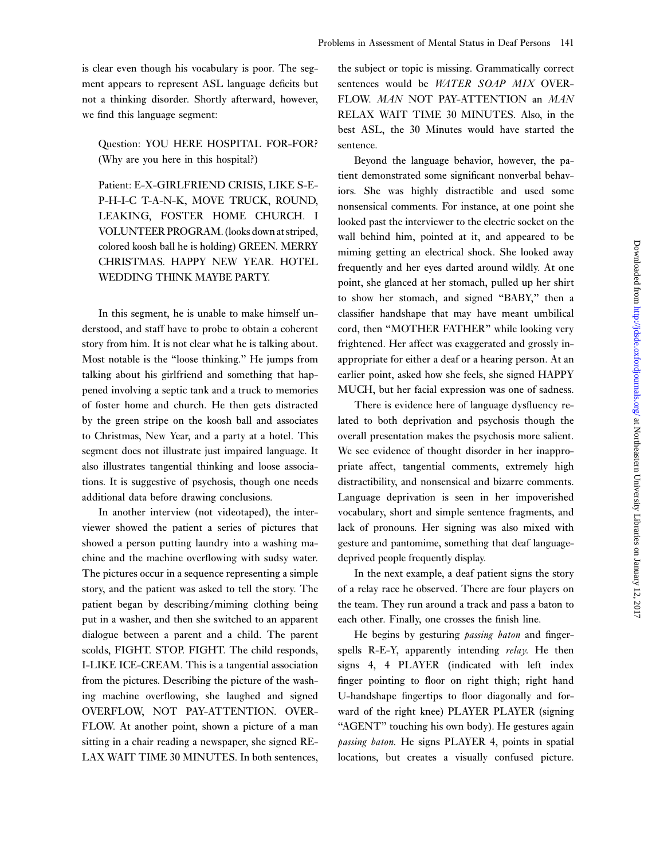is clear even though his vocabulary is poor. The segment appears to represent ASL language deficits but not a thinking disorder. Shortly afterward, however, we find this language segment:

Question: YOU HERE HOSPITAL FOR-FOR? (Why are you here in this hospital?)

Patient: E-X-GIRLFRIEND CRISIS, LIKE S-E-P-H-I-C T-A-N-K, MOVE TRUCK, ROUND, LEAKING, FOSTER HOME CHURCH. I VOLUNTEER PROGRAM. (looks down at striped, colored koosh ball he is holding) GREEN. MERRY CHRISTMAS. HAPPY NEW YEAR. HOTEL WEDDING THINK MAYBE PARTY.

In this segment, he is unable to make himself understood, and staff have to probe to obtain a coherent story from him. It is not clear what he is talking about. Most notable is the ''loose thinking.'' He jumps from talking about his girlfriend and something that happened involving a septic tank and a truck to memories of foster home and church. He then gets distracted by the green stripe on the koosh ball and associates to Christmas, New Year, and a party at a hotel. This segment does not illustrate just impaired language. It also illustrates tangential thinking and loose associations. It is suggestive of psychosis, though one needs additional data before drawing conclusions.

In another interview (not videotaped), the interviewer showed the patient a series of pictures that showed a person putting laundry into a washing machine and the machine overflowing with sudsy water. The pictures occur in a sequence representing a simple story, and the patient was asked to tell the story. The patient began by describing/miming clothing being put in a washer, and then she switched to an apparent dialogue between a parent and a child. The parent scolds, FIGHT. STOP. FIGHT. The child responds, I-LIKE ICE-CREAM. This is a tangential association from the pictures. Describing the picture of the washing machine overflowing, she laughed and signed OVERFLOW, NOT PAY-ATTENTION. OVER-FLOW. At another point, shown a picture of a man sitting in a chair reading a newspaper, she signed RE-LAX WAIT TIME 30 MINUTES. In both sentences,

the subject or topic is missing. Grammatically correct sentences would be WATER SOAP MIX OVER-FLOW. MAN NOT PAY-ATTENTION an MAN RELAX WAIT TIME 30 MINUTES. Also, in the best ASL, the 30 Minutes would have started the sentence.

Beyond the language behavior, however, the patient demonstrated some significant nonverbal behaviors. She was highly distractible and used some nonsensical comments. For instance, at one point she looked past the interviewer to the electric socket on the wall behind him, pointed at it, and appeared to be miming getting an electrical shock. She looked away frequently and her eyes darted around wildly. At one point, she glanced at her stomach, pulled up her shirt to show her stomach, and signed ''BABY,'' then a classifier handshape that may have meant umbilical cord, then ''MOTHER FATHER'' while looking very frightened. Her affect was exaggerated and grossly inappropriate for either a deaf or a hearing person. At an earlier point, asked how she feels, she signed HAPPY MUCH, but her facial expression was one of sadness.

There is evidence here of language dysfluency related to both deprivation and psychosis though the overall presentation makes the psychosis more salient. We see evidence of thought disorder in her inappropriate affect, tangential comments, extremely high distractibility, and nonsensical and bizarre comments. Language deprivation is seen in her impoverished vocabulary, short and simple sentence fragments, and lack of pronouns. Her signing was also mixed with gesture and pantomime, something that deaf languagedeprived people frequently display.

In the next example, a deaf patient signs the story of a relay race he observed. There are four players on the team. They run around a track and pass a baton to each other. Finally, one crosses the finish line.

He begins by gesturing *passing baton* and fingerspells  $R-E-Y$ , apparently intending relay. He then signs 4, 4 PLAYER (indicated with left index finger pointing to floor on right thigh; right hand U-handshape fingertips to floor diagonally and forward of the right knee) PLAYER PLAYER (signing "AGENT" touching his own body). He gestures again passing baton. He signs PLAYER 4, points in spatial locations, but creates a visually confused picture.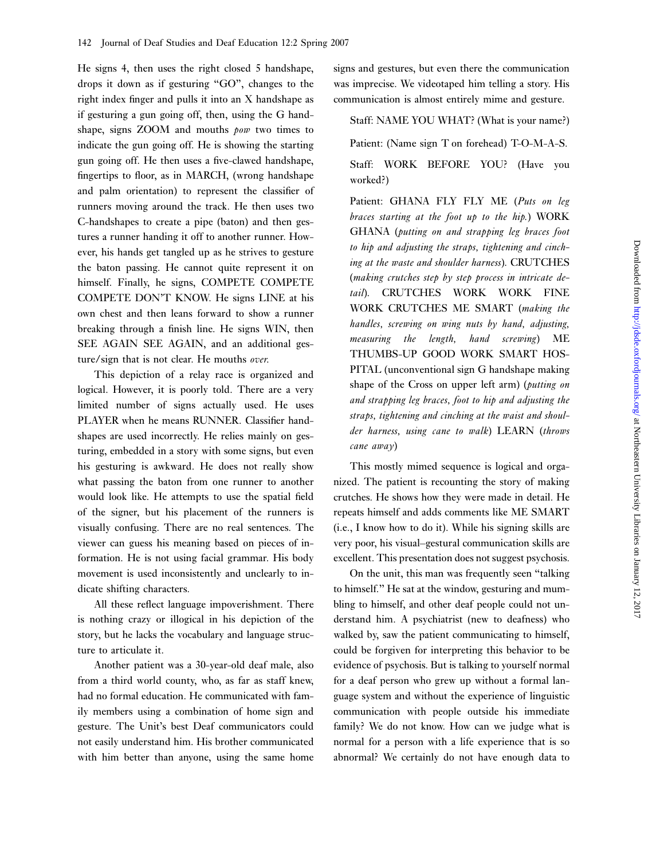He signs 4, then uses the right closed 5 handshape, drops it down as if gesturing ''GO'', changes to the right index finger and pulls it into an X handshape as if gesturing a gun going off, then, using the G handshape, signs ZOOM and mouths *pow* two times to indicate the gun going off. He is showing the starting gun going off. He then uses a five-clawed handshape, fingertips to floor, as in MARCH, (wrong handshape and palm orientation) to represent the classifier of runners moving around the track. He then uses two C-handshapes to create a pipe (baton) and then gestures a runner handing it off to another runner. However, his hands get tangled up as he strives to gesture the baton passing. He cannot quite represent it on himself. Finally, he signs, COMPETE COMPETE COMPETE DON'T KNOW. He signs LINE at his own chest and then leans forward to show a runner breaking through a finish line. He signs WIN, then SEE AGAIN SEE AGAIN, and an additional gesture/sign that is not clear. He mouths over.

This depiction of a relay race is organized and logical. However, it is poorly told. There are a very limited number of signs actually used. He uses PLAYER when he means RUNNER. Classifier handshapes are used incorrectly. He relies mainly on gesturing, embedded in a story with some signs, but even his gesturing is awkward. He does not really show what passing the baton from one runner to another would look like. He attempts to use the spatial field of the signer, but his placement of the runners is visually confusing. There are no real sentences. The viewer can guess his meaning based on pieces of information. He is not using facial grammar. His body movement is used inconsistently and unclearly to indicate shifting characters.

All these reflect language impoverishment. There is nothing crazy or illogical in his depiction of the story, but he lacks the vocabulary and language structure to articulate it.

Another patient was a 30-year-old deaf male, also from a third world county, who, as far as staff knew, had no formal education. He communicated with family members using a combination of home sign and gesture. The Unit's best Deaf communicators could not easily understand him. His brother communicated with him better than anyone, using the same home signs and gestures, but even there the communication was imprecise. We videotaped him telling a story. His communication is almost entirely mime and gesture.

Staff: NAME YOU WHAT? (What is your name?)

Patient: (Name sign T on forehead) T-O-M-A-S. Staff: WORK BEFORE YOU? (Have you worked?)

Patient: GHANA FLY FLY ME (Puts on leg braces starting at the foot up to the hip.) WORK GHANA (putting on and strapping leg braces foot to hip and adjusting the straps, tightening and cinching at the waste and shoulder harness). CRUTCHES (making crutches step by step process in intricate detail). CRUTCHES WORK WORK FINE WORK CRUTCHES ME SMART (making the handles, screwing on wing nuts by hand, adjusting, measuring the length, hand screwing) ME THUMBS-UP GOOD WORK SMART HOS-PITAL (unconventional sign G handshape making shape of the Cross on upper left arm) (putting on and strapping leg braces, foot to hip and adjusting the straps, tightening and cinching at the waist and shoulder harness, using cane to walk) LEARN (throws cane away)

This mostly mimed sequence is logical and organized. The patient is recounting the story of making crutches. He shows how they were made in detail. He repeats himself and adds comments like ME SMART (i.e., I know how to do it). While his signing skills are very poor, his visual–gestural communication skills are excellent. This presentation does not suggest psychosis.

On the unit, this man was frequently seen ''talking to himself.'' He sat at the window, gesturing and mumbling to himself, and other deaf people could not understand him. A psychiatrist (new to deafness) who walked by, saw the patient communicating to himself, could be forgiven for interpreting this behavior to be evidence of psychosis. But is talking to yourself normal for a deaf person who grew up without a formal language system and without the experience of linguistic communication with people outside his immediate family? We do not know. How can we judge what is normal for a person with a life experience that is so abnormal? We certainly do not have enough data to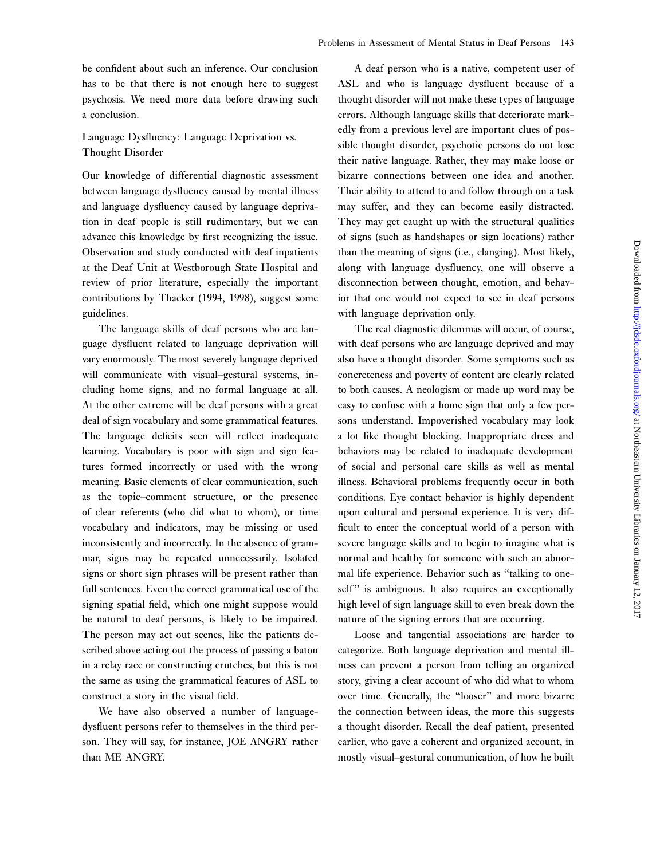be confident about such an inference. Our conclusion has to be that there is not enough here to suggest psychosis. We need more data before drawing such a conclusion.

# Language Dysfluency: Language Deprivation vs. Thought Disorder

Our knowledge of differential diagnostic assessment between language dysfluency caused by mental illness and language dysfluency caused by language deprivation in deaf people is still rudimentary, but we can advance this knowledge by first recognizing the issue. Observation and study conducted with deaf inpatients at the Deaf Unit at Westborough State Hospital and review of prior literature, especially the important contributions by Thacker (1994, 1998), suggest some guidelines.

The language skills of deaf persons who are language dysfluent related to language deprivation will vary enormously. The most severely language deprived will communicate with visual–gestural systems, including home signs, and no formal language at all. At the other extreme will be deaf persons with a great deal of sign vocabulary and some grammatical features. The language deficits seen will reflect inadequate learning. Vocabulary is poor with sign and sign features formed incorrectly or used with the wrong meaning. Basic elements of clear communication, such as the topic–comment structure, or the presence of clear referents (who did what to whom), or time vocabulary and indicators, may be missing or used inconsistently and incorrectly. In the absence of grammar, signs may be repeated unnecessarily. Isolated signs or short sign phrases will be present rather than full sentences. Even the correct grammatical use of the signing spatial field, which one might suppose would be natural to deaf persons, is likely to be impaired. The person may act out scenes, like the patients described above acting out the process of passing a baton in a relay race or constructing crutches, but this is not the same as using the grammatical features of ASL to construct a story in the visual field.

We have also observed a number of languagedysfluent persons refer to themselves in the third person. They will say, for instance, JOE ANGRY rather than ME ANGRY.

A deaf person who is a native, competent user of ASL and who is language dysfluent because of a thought disorder will not make these types of language errors. Although language skills that deteriorate markedly from a previous level are important clues of possible thought disorder, psychotic persons do not lose their native language. Rather, they may make loose or bizarre connections between one idea and another. Their ability to attend to and follow through on a task may suffer, and they can become easily distracted. They may get caught up with the structural qualities of signs (such as handshapes or sign locations) rather than the meaning of signs (i.e., clanging). Most likely, along with language dysfluency, one will observe a disconnection between thought, emotion, and behavior that one would not expect to see in deaf persons with language deprivation only.

The real diagnostic dilemmas will occur, of course, with deaf persons who are language deprived and may also have a thought disorder. Some symptoms such as concreteness and poverty of content are clearly related to both causes. A neologism or made up word may be easy to confuse with a home sign that only a few persons understand. Impoverished vocabulary may look a lot like thought blocking. Inappropriate dress and behaviors may be related to inadequate development of social and personal care skills as well as mental illness. Behavioral problems frequently occur in both conditions. Eye contact behavior is highly dependent upon cultural and personal experience. It is very difficult to enter the conceptual world of a person with severe language skills and to begin to imagine what is normal and healthy for someone with such an abnormal life experience. Behavior such as ''talking to oneself" is ambiguous. It also requires an exceptionally high level of sign language skill to even break down the nature of the signing errors that are occurring.

Loose and tangential associations are harder to categorize. Both language deprivation and mental illness can prevent a person from telling an organized story, giving a clear account of who did what to whom over time. Generally, the ''looser'' and more bizarre the connection between ideas, the more this suggests a thought disorder. Recall the deaf patient, presented earlier, who gave a coherent and organized account, in mostly visual–gestural communication, of how he built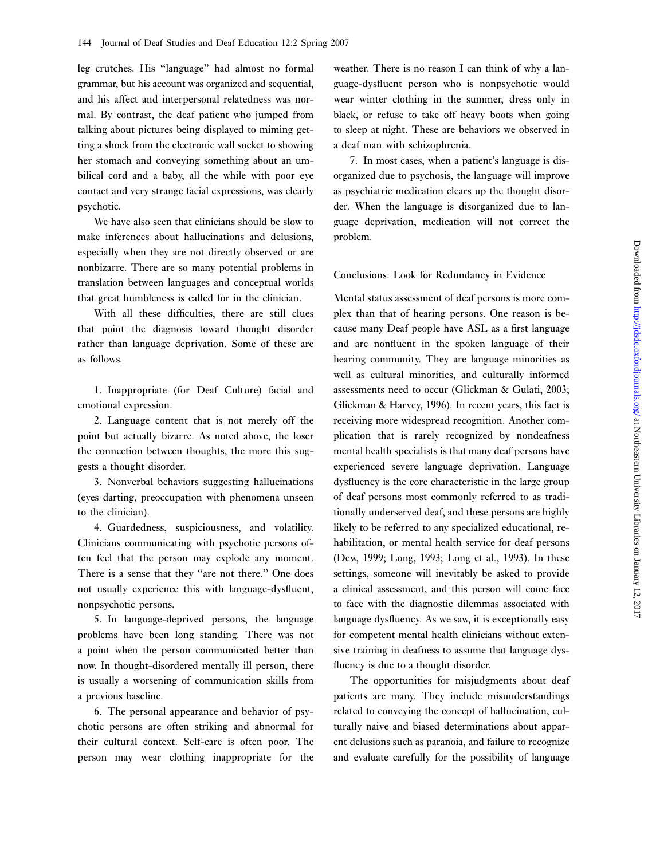leg crutches. His ''language'' had almost no formal grammar, but his account was organized and sequential, and his affect and interpersonal relatedness was normal. By contrast, the deaf patient who jumped from talking about pictures being displayed to miming getting a shock from the electronic wall socket to showing her stomach and conveying something about an umbilical cord and a baby, all the while with poor eye contact and very strange facial expressions, was clearly psychotic.

We have also seen that clinicians should be slow to make inferences about hallucinations and delusions, especially when they are not directly observed or are nonbizarre. There are so many potential problems in translation between languages and conceptual worlds that great humbleness is called for in the clinician.

With all these difficulties, there are still clues that point the diagnosis toward thought disorder rather than language deprivation. Some of these are as follows.

1. Inappropriate (for Deaf Culture) facial and emotional expression.

2. Language content that is not merely off the point but actually bizarre. As noted above, the loser the connection between thoughts, the more this suggests a thought disorder.

3. Nonverbal behaviors suggesting hallucinations (eyes darting, preoccupation with phenomena unseen to the clinician).

4. Guardedness, suspiciousness, and volatility. Clinicians communicating with psychotic persons often feel that the person may explode any moment. There is a sense that they "are not there." One does not usually experience this with language-dysfluent, nonpsychotic persons.

5. In language-deprived persons, the language problems have been long standing. There was not a point when the person communicated better than now. In thought-disordered mentally ill person, there is usually a worsening of communication skills from a previous baseline.

6. The personal appearance and behavior of psychotic persons are often striking and abnormal for their cultural context. Self-care is often poor. The person may wear clothing inappropriate for the weather. There is no reason I can think of why a language-dysfluent person who is nonpsychotic would wear winter clothing in the summer, dress only in black, or refuse to take off heavy boots when going to sleep at night. These are behaviors we observed in a deaf man with schizophrenia.

7. In most cases, when a patient's language is disorganized due to psychosis, the language will improve as psychiatric medication clears up the thought disorder. When the language is disorganized due to language deprivation, medication will not correct the problem.

Conclusions: Look for Redundancy in Evidence

Mental status assessment of deaf persons is more complex than that of hearing persons. One reason is because many Deaf people have ASL as a first language and are nonfluent in the spoken language of their hearing community. They are language minorities as well as cultural minorities, and culturally informed assessments need to occur (Glickman & Gulati, 2003; Glickman & Harvey, 1996). In recent years, this fact is receiving more widespread recognition. Another complication that is rarely recognized by nondeafness mental health specialists is that many deaf persons have experienced severe language deprivation. Language dysfluency is the core characteristic in the large group of deaf persons most commonly referred to as traditionally underserved deaf, and these persons are highly likely to be referred to any specialized educational, rehabilitation, or mental health service for deaf persons (Dew, 1999; Long, 1993; Long et al., 1993). In these settings, someone will inevitably be asked to provide a clinical assessment, and this person will come face to face with the diagnostic dilemmas associated with language dysfluency. As we saw, it is exceptionally easy for competent mental health clinicians without extensive training in deafness to assume that language dysfluency is due to a thought disorder.

The opportunities for misjudgments about deaf patients are many. They include misunderstandings related to conveying the concept of hallucination, culturally naive and biased determinations about apparent delusions such as paranoia, and failure to recognize and evaluate carefully for the possibility of language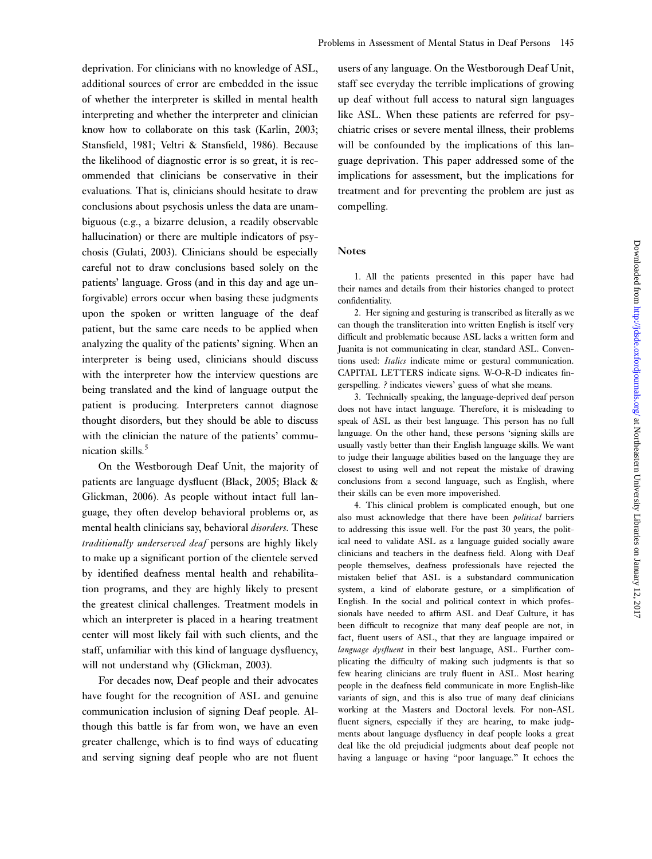deprivation. For clinicians with no knowledge of ASL, additional sources of error are embedded in the issue of whether the interpreter is skilled in mental health interpreting and whether the interpreter and clinician know how to collaborate on this task (Karlin, 2003; Stansfield, 1981; Veltri & Stansfield, 1986). Because the likelihood of diagnostic error is so great, it is recommended that clinicians be conservative in their evaluations. That is, clinicians should hesitate to draw conclusions about psychosis unless the data are unambiguous (e.g., a bizarre delusion, a readily observable hallucination) or there are multiple indicators of psychosis (Gulati, 2003). Clinicians should be especially careful not to draw conclusions based solely on the patients' language. Gross (and in this day and age unforgivable) errors occur when basing these judgments upon the spoken or written language of the deaf patient, but the same care needs to be applied when analyzing the quality of the patients' signing. When an interpreter is being used, clinicians should discuss with the interpreter how the interview questions are being translated and the kind of language output the patient is producing. Interpreters cannot diagnose thought disorders, but they should be able to discuss with the clinician the nature of the patients' communication skills.<sup>5</sup>

On the Westborough Deaf Unit, the majority of patients are language dysfluent (Black, 2005; Black & Glickman, 2006). As people without intact full language, they often develop behavioral problems or, as mental health clinicians say, behavioral disorders. These traditionally underserved deaf persons are highly likely to make up a significant portion of the clientele served by identified deafness mental health and rehabilitation programs, and they are highly likely to present the greatest clinical challenges. Treatment models in which an interpreter is placed in a hearing treatment center will most likely fail with such clients, and the staff, unfamiliar with this kind of language dysfluency, will not understand why (Glickman, 2003).

For decades now, Deaf people and their advocates have fought for the recognition of ASL and genuine communication inclusion of signing Deaf people. Although this battle is far from won, we have an even greater challenge, which is to find ways of educating and serving signing deaf people who are not fluent

users of any language. On the Westborough Deaf Unit, staff see everyday the terrible implications of growing up deaf without full access to natural sign languages like ASL. When these patients are referred for psychiatric crises or severe mental illness, their problems will be confounded by the implications of this language deprivation. This paper addressed some of the implications for assessment, but the implications for treatment and for preventing the problem are just as compelling.

## Notes

1. All the patients presented in this paper have had their names and details from their histories changed to protect confidentiality.

2. Her signing and gesturing is transcribed as literally as we can though the transliteration into written English is itself very difficult and problematic because ASL lacks a written form and Juanita is not communicating in clear, standard ASL. Conventions used: Italics indicate mime or gestural communication. CAPITAL LETTERS indicate signs. W-O-R-D indicates fingerspelling. ? indicates viewers' guess of what she means.

3. Technically speaking, the language-deprived deaf person does not have intact language. Therefore, it is misleading to speak of ASL as their best language. This person has no full language. On the other hand, these persons 'signing skills are usually vastly better than their English language skills. We want to judge their language abilities based on the language they are closest to using well and not repeat the mistake of drawing conclusions from a second language, such as English, where their skills can be even more impoverished.

4. This clinical problem is complicated enough, but one also must acknowledge that there have been *political* barriers to addressing this issue well. For the past 30 years, the political need to validate ASL as a language guided socially aware clinicians and teachers in the deafness field. Along with Deaf people themselves, deafness professionals have rejected the mistaken belief that ASL is a substandard communication system, a kind of elaborate gesture, or a simplification of English. In the social and political context in which professionals have needed to affirm ASL and Deaf Culture, it has been difficult to recognize that many deaf people are not, in fact, fluent users of ASL, that they are language impaired or language dysfluent in their best language, ASL. Further complicating the difficulty of making such judgments is that so few hearing clinicians are truly fluent in ASL. Most hearing people in the deafness field communicate in more English-like variants of sign, and this is also true of many deaf clinicians working at the Masters and Doctoral levels. For non-ASL fluent signers, especially if they are hearing, to make judgments about language dysfluency in deaf people looks a great deal like the old prejudicial judgments about deaf people not having a language or having ''poor language.'' It echoes the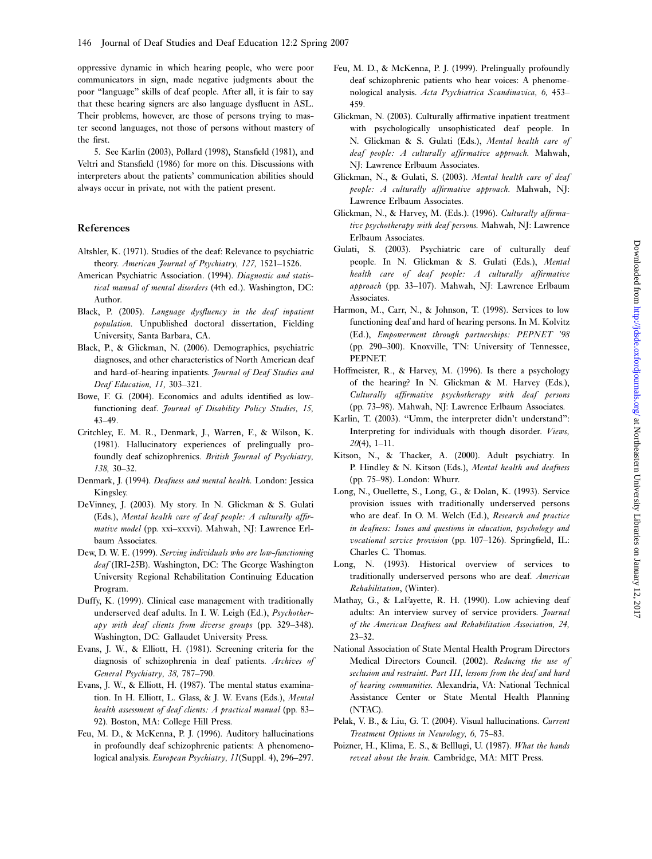oppressive dynamic in which hearing people, who were poor communicators in sign, made negative judgments about the poor ''language'' skills of deaf people. After all, it is fair to say that these hearing signers are also language dysfluent in ASL. Their problems, however, are those of persons trying to master second languages, not those of persons without mastery of the first.

5. See Karlin (2003), Pollard (1998), Stansfield (1981), and Veltri and Stansfield (1986) for more on this. Discussions with interpreters about the patients' communication abilities should always occur in private, not with the patient present.

#### References

- Altshler, K. (1971). Studies of the deaf: Relevance to psychiatric theory. American Journal of Psychiatry, 127, 1521–1526.
- American Psychiatric Association. (1994). Diagnostic and statistical manual of mental disorders (4th ed.). Washington, DC: Author.
- Black, P. (2005). Language dysfluency in the deaf inpatient population. Unpublished doctoral dissertation, Fielding University, Santa Barbara, CA.
- Black, P., & Glickman, N. (2006). Demographics, psychiatric diagnoses, and other characteristics of North American deaf and hard-of-hearing inpatients. Journal of Deaf Studies and Deaf Education, 11, 303–321.
- Bowe, F. G. (2004). Economics and adults identified as lowfunctioning deaf. Journal of Disability Policy Studies, 15, 43–49.
- Critchley, E. M. R., Denmark, J., Warren, F., & Wilson, K. (1981). Hallucinatory experiences of prelingually profoundly deaf schizophrenics. British Journal of Psychiatry, 138, 30–32.
- Denmark, J. (1994). Deafness and mental health. London: Jessica Kingsley.
- DeVinney, J. (2003). My story. In N. Glickman & S. Gulati (Eds.), Mental health care of deaf people: A culturally affirmative model (pp. xxi–xxxvi). Mahwah, NJ: Lawrence Erlbaum Associates.
- Dew, D. W. E. (1999). Serving individuals who are low-functioning deaf (IRI-25B). Washington, DC: The George Washington University Regional Rehabilitation Continuing Education Program.
- Duffy, K. (1999). Clinical case management with traditionally underserved deaf adults. In I. W. Leigh (Ed.), Psychotherapy with deaf clients from diverse groups (pp. 329–348). Washington, DC: Gallaudet University Press.
- Evans, J. W., & Elliott, H. (1981). Screening criteria for the diagnosis of schizophrenia in deaf patients. Archives of General Psychiatry, 38, 787–790.
- Evans, J. W., & Elliott, H. (1987). The mental status examination. In H. Elliott, L. Glass, & J. W. Evans (Eds.), Mental health assessment of deaf clients: A practical manual (pp. 83-92). Boston, MA: College Hill Press.
- Feu, M. D., & McKenna, P. J. (1996). Auditory hallucinations in profoundly deaf schizophrenic patients: A phenomenological analysis. European Psychiatry, 11(Suppl. 4), 296–297.
- Feu, M. D., & McKenna, P. J. (1999). Prelingually profoundly deaf schizophrenic patients who hear voices: A phenomenological analysis. Acta Psychiatrica Scandinavica, 6, 453– 459.
- Glickman, N. (2003). Culturally affirmative inpatient treatment with psychologically unsophisticated deaf people. In N. Glickman & S. Gulati (Eds.), Mental health care of deaf people: A culturally affirmative approach. Mahwah, NJ: Lawrence Erlbaum Associates.
- Glickman, N., & Gulati, S. (2003). Mental health care of deaf people: A culturally affirmative approach. Mahwah, NJ: Lawrence Erlbaum Associates.
- Glickman, N., & Harvey, M. (Eds.). (1996). Culturally affirmative psychotherapy with deaf persons. Mahwah, NJ: Lawrence Erlbaum Associates.
- Gulati, S. (2003). Psychiatric care of culturally deaf people. In N. Glickman & S. Gulati (Eds.), Mental health care of deaf people: A culturally affirmative approach (pp. 33-107). Mahwah, NJ: Lawrence Erlbaum Associates.
- Harmon, M., Carr, N., & Johnson, T. (1998). Services to low functioning deaf and hard of hearing persons. In M. Kolvitz (Ed.), Empowerment through partnerships: PEPNET '98 (pp. 290–300). Knoxville, TN: University of Tennessee, PEPNET.
- Hoffmeister, R., & Harvey, M. (1996). Is there a psychology of the hearing? In N. Glickman & M. Harvey (Eds.), Culturally affirmative psychotherapy with deaf persons (pp. 73–98). Mahwah, NJ: Lawrence Erlbaum Associates.
- Karlin, T. (2003). "Umm, the interpreter didn't understand": Interpreting for individuals with though disorder. Views, 20(4), 1–11.
- Kitson, N., & Thacker, A. (2000). Adult psychiatry. In P. Hindley & N. Kitson (Eds.), Mental health and deafness (pp. 75–98). London: Whurr.
- Long, N., Ouellette, S., Long, G., & Dolan, K. (1993). Service provision issues with traditionally underserved persons who are deaf. In O. M. Welch (Ed.), Research and practice in deafness: Issues and questions in education, psychology and vocational service provision (pp. 107–126). Springfield, IL: Charles C. Thomas.
- Long, N. (1993). Historical overview of services to traditionally underserved persons who are deaf. American Rehabilitation, (Winter).
- Mathay, G., & LaFayette, R. H. (1990). Low achieving deaf adults: An interview survey of service providers. Journal of the American Deafness and Rehabilitation Association, 24, 23–32.
- National Association of State Mental Health Program Directors Medical Directors Council. (2002). Reducing the use of seclusion and restraint. Part III, lessons from the deaf and hard of hearing communities. Alexandria, VA: National Technical Assistance Center or State Mental Health Planning (NTAC).
- Pelak, V. B., & Liu, G. T. (2004). Visual hallucinations. Current Treatment Options in Neurology, 6, 75–83.
- Poizner, H., Klima, E. S., & Belllugi, U. (1987). What the hands reveal about the brain. Cambridge, MA: MIT Press.